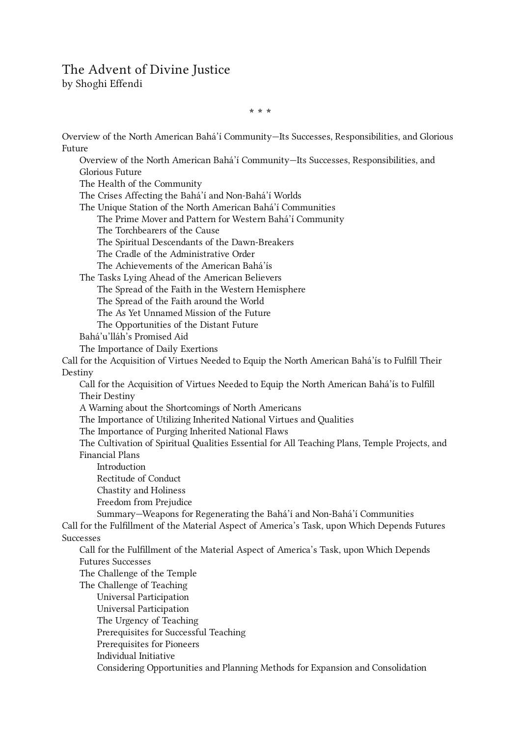## The Advent of Divine Justice

by Shoghi Effendi

Overview of the North American Bahá'í Community—Its Successes, [Responsibilities,](#page-1-0) and Glorious Future Overview of the North American Bahá'í Community—Its Successes, [Responsibilities,](#page-1-0) and Glorious Future The Health of the [Community](#page-1-1) The Crises Affecting the Bahá'í and [Non-Bahá'í](#page-2-0) Worlds The Unique Station of the North American Bahá'í [Communities](#page-3-0) The Prime Mover and Pattern for Western Bahá'í [Community](#page-4-0) The [Torchbearers](#page-4-0) of the Cause The Spiritual Descendants of the [Dawn-Breakers](#page-4-1) The Cradle of the [Administrative](#page-4-2) Order The [Achievements](#page-4-2) of the American Bahá'ís The Tasks Lying Ahead of the [American](#page-5-0) Believers The Spread of the Faith in the Western [Hemisphere](#page-6-0) The Spread of the Faith [around](#page-6-1) the World The As Yet [Unnamed](#page-7-0) Mission of the Future The [Opportunities](#page-7-1) of the Distant Future [Bahá'u'lláh's](#page-7-2) Promised Aid The [Importance](#page-7-2) of Daily Exertions Call for the [Acquisition](#page-8-0) of Virtues Needed to Equip the North American Bahá'ís to Fulfill Their Destiny Call for the [Acquisition](#page-8-0) of Virtues Needed to Equip the North American Bahá'ís to Fulfill Their Destiny A Warning about the [Shortcomings](#page-8-0) of North Americans The [Importance](#page-9-0) of Utilizing Inherited National Virtues and Qualities The [Importance](#page-10-0) of Purging Inherited National Flaws The [Cultivation](#page-10-1) of Spiritual Qualities Essential for All Teaching Plans, Temple Projects, and Financial Plans [Introduction](#page-10-1) [Rectitude](#page-11-0) of Conduct Chastity and [Holiness](#page-13-0) Freedom from [Prejudice](#page-15-0) [Summary—Weapons](#page-19-0) for Regenerating the Bahá'í and Non-Bahá'í Communities Call for the [Fulfillment](#page-20-0) of the Material Aspect of America's Task, upon Which Depends Futures Successes Call for the [Fulfillment](#page-20-0) of the Material Aspect of America's Task, upon Which Depends Futures Successes The [Challenge](#page-20-1) of the Temple The [Challenge](#page-20-2) of Teaching Universal [Participation](#page-20-3) Universal [Participation](#page-20-3) The Urgency of [Teaching](#page-21-0) [Prerequisites](#page-22-0) for Successful Teaching [Prerequisites](#page-22-1) for Pioneers [Individual](#page-23-0) Initiative Considering [Opportunities](#page-23-1) and Planning Methods for Expansion and Consolidation

\* \* \*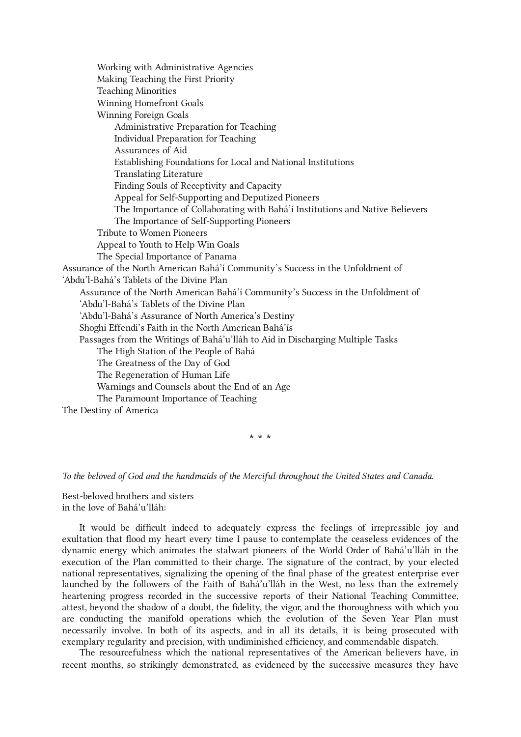Working with [Administrative](#page-24-0) Agencies Making [Teaching](#page-24-1) the First Priority Teaching [Minorities](#page-24-2) Winning [Homefront](#page-25-0) Goals [Winning](#page-26-0) Foreign Goals [Administrative](#page-26-1) Preparation for Teaching Individual [Preparation](#page-27-0) for Teaching [Assurances](#page-27-1) of Aid [Establishing](#page-28-0) Foundations for Local and National Institutions [Translating](#page-29-0) Literature Finding Souls of [Receptivity](#page-29-1) and Capacity Appeal for [Self-Supporting](#page-30-0) and Deputized Pioneers The Importance of [Collaborating](#page-30-1) with Bahá'í Institutions and Native Believers The Importance of [Self-Supporting](#page-30-2) Pioneers Tribute to Women [Pioneers](#page-31-0) [Appeal](#page-31-1) to Youth to Help Win Goals The Special [Importance](#page-31-2) of Panama Assurance of the North American Bahá'í Community's Success in the Unfoldment of ['Abdu'l‑Bahá's](#page-32-0) Tablets of the Divine Plan Assurance of the North American Bahá'í Community's Success in the Unfoldment of ['Abdu'l‑Bahá's](#page-32-0) Tablets of the Divine Plan ['Abdu'l‑Bahá's](#page-33-0) Assurance of North America's Destiny Shoghi Effendi's Faith in the North [American](#page-33-1) Bahá'ís Passages from the Writings of Bahá'u'lláh to Aid in [Discharging](#page-33-2) Multiple Tasks The High [Station](#page-34-0) of the People of Bahá The [Greatness](#page-34-1) of the Day of God The [Regeneration](#page-36-0) of Human Life [Warnings](#page-36-1) and Counsels about the End of an Age The Paramount [Importance](#page-37-0) of Teaching The Destiny of [America](#page-38-0)

\* \* \*

## To the beloved of God and the handmaids of the Merciful throughout the United States and Canada.

Best-beloved brothers and sisters in the love of Bahá'u'lláh:

<span id="page-1-0"></span>It would be difficult indeed to adequately express the feelings of irrepressible joy and exultation that flood my heart every time I pause to contemplate the ceaseless evidences of the dynamic energy which animates the stalwart pioneers of the World Order of Bahá'u'lláh in the execution of the Plan committed to their charge. The signature of the contract, by your elected national representatives, signalizing the opening of the final phase of the greatest enterprise ever launched by the followers of the Faith of Bahá'u'lláh in the West, no less than the extremely heartening progress recorded in the successive reports of their National Teaching Committee, attest, beyond the shadow of a doubt, the fidelity, the vigor, and the thoroughness with which you are conducting the manifold operations which the evolution of the Seven Year Plan must necessarily involve. In both of its aspects, and in all its details, it is being prosecuted with exemplary regularity and precision, with undiminished efficiency, and commendable dispatch.

<span id="page-1-1"></span>The resourcefulness which the national representatives of the American believers have, in recent months, so strikingly demonstrated, as evidenced by the successive measures they have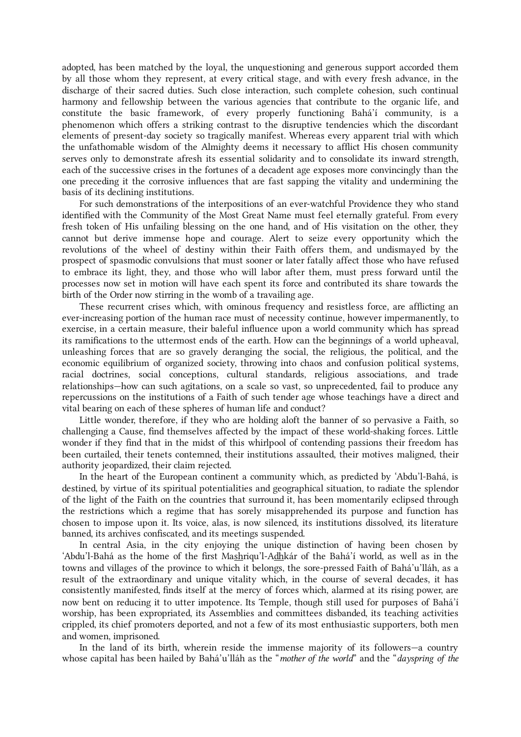adopted, has been matched by the loyal, the unquestioning and generous support accorded them by all those whom they represent, at every critical stage, and with every fresh advance, in the discharge of their sacred duties. Such close interaction, such complete cohesion, such continual harmony and fellowship between the various agencies that contribute to the organic life, and constitute the basic framework, of every properly functioning Bahá'í community, is a phenomenon which offers a striking contrast to the disruptive tendencies which the discordant elements of present-day society so tragically manifest. Whereas every apparent trial with which the unfathomable wisdom of the Almighty deems it necessary to afflict His chosen community serves only to demonstrate afresh its essential solidarity and to consolidate its inward strength, each of the successive crises in the fortunes of a decadent age exposes more convincingly than the one preceding it the corrosive influences that are fast sapping the vitality and undermining the basis of its declining institutions.

For such demonstrations of the interpositions of an ever-watchful Providence they who stand identified with the Community of the Most Great Name must feel eternally grateful. From every fresh token of His unfailing blessing on the one hand, and of His visitation on the other, they cannot but derive immense hope and courage. Alert to seize every opportunity which the revolutions of the wheel of destiny within their Faith offers them, and undismayed by the prospect of spasmodic convulsions that must sooner or later fatally affect those who have refused to embrace its light, they, and those who will labor after them, must press forward until the processes now set in motion will have each spent its force and contributed its share towards the birth of the Order now stirring in the womb of a travailing age.

<span id="page-2-0"></span>These recurrent crises which, with ominous frequency and resistless force, are afflicting an ever-increasing portion of the human race must of necessity continue, however impermanently, to exercise, in a certain measure, their baleful influence upon a world community which has spread its ramifications to the uttermost ends of the earth. How can the beginnings of a world upheaval, unleashing forces that are so gravely deranging the social, the religious, the political, and the economic equilibrium of organized society, throwing into chaos and confusion political systems, racial doctrines, social conceptions, cultural standards, religious associations, and trade relationships—how can such agitations, on a scale so vast, so unprecedented, fail to produce any repercussions on the institutions of a Faith of such tender age whose teachings have a direct and vital bearing on each of these spheres of human life and conduct?

Little wonder, therefore, if they who are holding aloft the banner of so pervasive a Faith, so challenging a Cause, find themselves affected by the impact of these world-shaking forces. Little wonder if they find that in the midst of this whirlpool of contending passions their freedom has been curtailed, their tenets contemned, their institutions assaulted, their motives maligned, their authority jeopardized, their claim rejected.

In the heart of the European continent a community which, as predicted by 'Abdu'l-Bahá, is destined, by virtue of its spiritual potentialities and geographical situation, to radiate the splendor of the light of the Faith on the countries that surround it, has been momentarily eclipsed through the restrictions which a regime that has sorely misapprehended its purpose and function has chosen to impose upon it. Its voice, alas, is now silenced, its institutions dissolved, its literature banned, its archives confiscated, and its meetings suspended.

In central Asia, in the city enjoying the unique distinction of having been chosen by 'Abdu'l-Bahá as the home of the first Mashriqu'l-Adhkár of the Bahá'í world, as well as in the towns and villages of the province to which it belongs, the sore-pressed Faith of Bahá'u'lláh, as a result of the extraordinary and unique vitality which, in the course of several decades, it has consistently manifested, finds itself at the mercy of forces which, alarmed at its rising power, are now bent on reducing it to utter impotence. Its Temple, though still used for purposes of Bahá'í worship, has been expropriated, its Assemblies and committees disbanded, its teaching activities crippled, its chief promoters deported, and not a few of its most enthusiastic supporters, both men and women, imprisoned.

In the land of its birth, wherein reside the immense majority of its followers—a country whose capital has been hailed by Bahá'u'lláh as the "mother of the world" and the "dayspring of the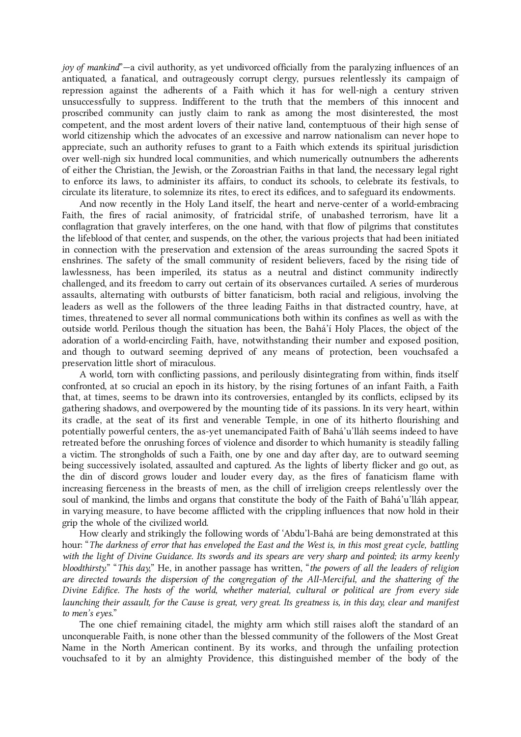joy of mankind"—a civil authority, as yet undivorced officially from the paralyzing influences of an antiquated, a fanatical, and outrageously corrupt clergy, pursues relentlessly its campaign of repression against the adherents of a Faith which it has for well-nigh a century striven unsuccessfully to suppress. Indifferent to the truth that the members of this innocent and proscribed community can justly claim to rank as among the most disinterested, the most competent, and the most ardent lovers of their native land, contemptuous of their high sense of world citizenship which the advocates of an excessive and narrow nationalism can never hope to appreciate, such an authority refuses to grant to a Faith which extends its spiritual jurisdiction over well-nigh six hundred local communities, and which numerically outnumbers the adherents of either the Christian, the Jewish, or the Zoroastrian Faiths in that land, the necessary legal right to enforce its laws, to administer its affairs, to conduct its schools, to celebrate its festivals, to circulate its literature, to solemnize its rites, to erect its edifices, and to safeguard its endowments.

And now recently in the Holy Land itself, the heart and nerve-center of a world-embracing Faith, the fires of racial animosity, of fratricidal strife, of unabashed terrorism, have lit a conflagration that gravely interferes, on the one hand, with that flow of pilgrims that constitutes the lifeblood of that center, and suspends, on the other, the various projects that had been initiated in connection with the preservation and extension of the areas surrounding the sacred Spots it enshrines. The safety of the small community of resident believers, faced by the rising tide of lawlessness, has been imperiled, its status as a neutral and distinct community indirectly challenged, and its freedom to carry out certain of its observances curtailed. A series of murderous assaults, alternating with outbursts of bitter fanaticism, both racial and religious, involving the leaders as well as the followers of the three leading Faiths in that distracted country, have, at times, threatened to sever all normal communications both within its confines as well as with the outside world. Perilous though the situation has been, the Bahá'í Holy Places, the object of the adoration of a world-encircling Faith, have, notwithstanding their number and exposed position, and though to outward seeming deprived of any means of protection, been vouchsafed a preservation little short of miraculous.

A world, torn with conflicting passions, and perilously disintegrating from within, finds itself confronted, at so crucial an epoch in its history, by the rising fortunes of an infant Faith, a Faith that, at times, seems to be drawn into its controversies, entangled by its conflicts, eclipsed by its gathering shadows, and overpowered by the mounting tide of its passions. In its very heart, within its cradle, at the seat of its first and venerable Temple, in one of its hitherto flourishing and potentially powerful centers, the as-yet unemancipated Faith of Bahá'u'lláh seems indeed to have retreated before the onrushing forces of violence and disorder to which humanity is steadily falling a victim. The strongholds of such a Faith, one by one and day after day, are to outward seeming being successively isolated, assaulted and captured. As the lights of liberty flicker and go out, as the din of discord grows louder and louder every day, as the fires of fanaticism flame with increasing fierceness in the breasts of men, as the chill of irreligion creeps relentlessly over the soul of mankind, the limbs and organs that constitute the body of the Faith of Bahá'u'lláh appear, in varying measure, to have become afflicted with the crippling influences that now hold in their grip the whole of the civilized world.

How clearly and strikingly the following words of 'Abdu'l-Bahá are being demonstrated at this hour: "The darkness of error that has enveloped the East and the West is, in this most great cycle, battling with the light of Divine Guidance. Its swords and its spears are very sharp and pointed; its army keenly bloodthirsty." "This day," He, in another passage has written, "the powers of all the leaders of religion are directed towards the dispersion of the congregation of the All-Merciful, and the shattering of the Divine Edifice. The hosts of the world, whether material, cultural or political are from every side launching their assault, for the Cause is great, very great. Its greatness is, in this day, clear and manifest to men's eyes."

<span id="page-3-0"></span>The one chief remaining citadel, the mighty arm which still raises aloft the standard of an unconquerable Faith, is none other than the blessed community of the followers of the Most Great Name in the North American continent. By its works, and through the unfailing protection vouchsafed to it by an almighty Providence, this distinguished member of the body of the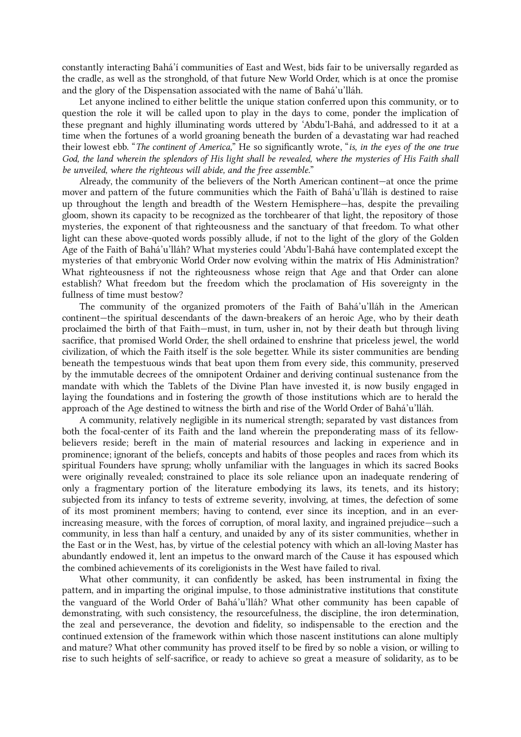constantly interacting Bahá'í communities of East and West, bids fair to be universally regarded as the cradle, as well as the stronghold, of that future New World Order, which is at once the promise and the glory of the Dispensation associated with the name of Bahá'u'lláh.

Let anyone inclined to either belittle the unique station conferred upon this community, or to question the role it will be called upon to play in the days to come, ponder the implication of these pregnant and highly illuminating words uttered by 'Abdu'l-Bahá, and addressed to it at a time when the fortunes of a world groaning beneath the burden of a devastating war had reached their lowest ebb. "The continent of America," He so significantly wrote, "is, in the eyes of the one true God, the land wherein the splendors of His light shall be revealed, where the mysteries of His Faith shall be unveiled, where the righteous will abide, and the free assemble."

<span id="page-4-0"></span>Already, the community of the believers of the North American continent—at once the prime mover and pattern of the future communities which the Faith of Bahá'u'lláh is destined to raise up throughout the length and breadth of the Western Hemisphere—has, despite the prevailing gloom, shown its capacity to be recognized as the torchbearer of that light, the repository of those mysteries, the exponent of that righteousness and the sanctuary of that freedom. To what other light can these above-quoted words possibly allude, if not to the light of the glory of the Golden Age of the Faith of Bahá'u'lláh? What mysteries could 'Abdu'l‑Bahá have contemplated except the mysteries of that embryonic World Order now evolving within the matrix of His Administration? What righteousness if not the righteousness whose reign that Age and that Order can alone establish? What freedom but the freedom which the proclamation of His sovereignty in the fullness of time must bestow?

<span id="page-4-1"></span>The community of the organized promoters of the Faith of Bahá'u'lláh in the American continent—the spiritual descendants of the dawn-breakers of an heroic Age, who by their death proclaimed the birth of that Faith—must, in turn, usher in, not by their death but through living sacrifice, that promised World Order, the shell ordained to enshrine that priceless jewel, the world civilization, of which the Faith itself is the sole begetter. While its sister communities are bending beneath the tempestuous winds that beat upon them from every side, this community, preserved by the immutable decrees of the omnipotent Ordainer and deriving continual sustenance from the mandate with which the Tablets of the Divine Plan have invested it, is now busily engaged in laying the foundations and in fostering the growth of those institutions which are to herald the approach of the Age destined to witness the birth and rise of the World Order of Bahá'u'lláh.

A community, relatively negligible in its numerical strength; separated by vast distances from both the focal-center of its Faith and the land wherein the preponderating mass of its fellowbelievers reside; bereft in the main of material resources and lacking in experience and in prominence; ignorant of the beliefs, concepts and habits of those peoples and races from which its spiritual Founders have sprung; wholly unfamiliar with the languages in which its sacred Books were originally revealed; constrained to place its sole reliance upon an inadequate rendering of only a fragmentary portion of the literature embodying its laws, its tenets, and its history; subjected from its infancy to tests of extreme severity, involving, at times, the defection of some of its most prominent members; having to contend, ever since its inception, and in an everincreasing measure, with the forces of corruption, of moral laxity, and ingrained prejudice—such a community, in less than half a century, and unaided by any of its sister communities, whether in the East or in the West, has, by virtue of the celestial potency with which an all-loving Master has abundantly endowed it, lent an impetus to the onward march of the Cause it has espoused which the combined achievements of its coreligionists in the West have failed to rival.

<span id="page-4-2"></span>What other community, it can confidently be asked, has been instrumental in fixing the pattern, and in imparting the original impulse, to those administrative institutions that constitute the vanguard of the World Order of Bahá'u'lláh? What other community has been capable of demonstrating, with such consistency, the resourcefulness, the discipline, the iron determination, the zeal and perseverance, the devotion and fidelity, so indispensable to the erection and the continued extension of the framework within which those nascent institutions can alone multiply and mature? What other community has proved itself to be fired by so noble a vision, or willing to rise to such heights of self-sacrifice, or ready to achieve so great a measure of solidarity, as to be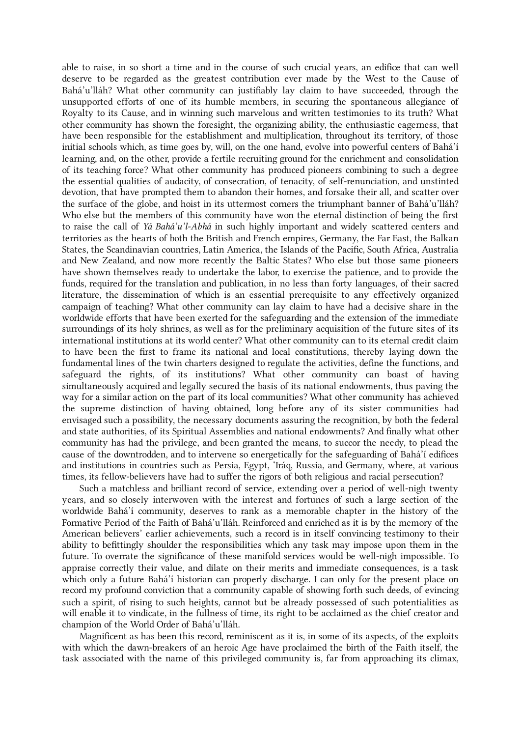able to raise, in so short a time and in the course of such crucial years, an edifice that can well deserve to be regarded as the greatest contribution ever made by the West to the Cause of Bahá'u'lláh? What other community can justifiably lay claim to have succeeded, through the unsupported efforts of one of its humble members, in securing the spontaneous allegiance of Royalty to its Cause, and in winning such marvelous and written testimonies to its truth? What other community has shown the foresight, the organizing ability, the enthusiastic eagerness, that have been responsible for the establishment and multiplication, throughout its territory, of those initial schools which, as time goes by, will, on the one hand, evolve into powerful centers of Bahá'í learning, and, on the other, provide a fertile recruiting ground for the enrichment and consolidation of its teaching force? What other community has produced pioneers combining to such a degree the essential qualities of audacity, of consecration, of tenacity, of self-renunciation, and unstinted devotion, that have prompted them to abandon their homes, and forsake their all, and scatter over the surface of the globe, and hoist in its uttermost corners the triumphant banner of Bahá'u'lláh? Who else but the members of this community have won the eternal distinction of being the first to raise the call of Yá Bahá'u'l-Abhá in such highly important and widely scattered centers and territories as the hearts of both the British and French empires, Germany, the Far East, the Balkan States, the Scandinavian countries, Latin America, the Islands of the Pacific, South Africa, Australia and New Zealand, and now more recently the Baltic States? Who else but those same pioneers have shown themselves ready to undertake the labor, to exercise the patience, and to provide the funds, required for the translation and publication, in no less than forty languages, of their sacred literature, the dissemination of which is an essential prerequisite to any effectively organized campaign of teaching? What other community can lay claim to have had a decisive share in the worldwide efforts that have been exerted for the safeguarding and the extension of the immediate surroundings of its holy shrines, as well as for the preliminary acquisition of the future sites of its international institutions at its world center? What other community can to its eternal credit claim to have been the first to frame its national and local constitutions, thereby laying down the fundamental lines of the twin charters designed to regulate the activities, define the functions, and safeguard the rights, of its institutions? What other community can boast of having simultaneously acquired and legally secured the basis of its national endowments, thus paving the way for a similar action on the part of its local communities? What other community has achieved the supreme distinction of having obtained, long before any of its sister communities had envisaged such a possibility, the necessary documents assuring the recognition, by both the federal and state authorities, of its Spiritual Assemblies and national endowments? And finally what other community has had the privilege, and been granted the means, to succor the needy, to plead the cause of the downtrodden, and to intervene so energetically for the safeguarding of Bahá'í edifices and institutions in countries such as Persia, Egypt, 'Iráq, Russia, and Germany, where, at various times, its fellow-believers have had to suffer the rigors of both religious and racial persecution?

Such a matchless and brilliant record of service, extending over a period of well-nigh twenty years, and so closely interwoven with the interest and fortunes of such a large section of the worldwide Bahá'í community, deserves to rank as a memorable chapter in the history of the Formative Period of the Faith of Bahá'u'lláh. Reinforced and enriched as it is by the memory of the American believers' earlier achievements, such a record is in itself convincing testimony to their ability to befittingly shoulder the responsibilities which any task may impose upon them in the future. To overrate the significance of these manifold services would be well-nigh impossible. To appraise correctly their value, and dilate on their merits and immediate consequences, is a task which only a future Bahá'í historian can properly discharge. I can only for the present place on record my profound conviction that a community capable of showing forth such deeds, of evincing such a spirit, of rising to such heights, cannot but be already possessed of such potentialities as will enable it to vindicate, in the fullness of time, its right to be acclaimed as the chief creator and champion of the World Order of Bahá'u'lláh.

<span id="page-5-0"></span>Magnificent as has been this record, reminiscent as it is, in some of its aspects, of the exploits with which the dawn-breakers of an heroic Age have proclaimed the birth of the Faith itself, the task associated with the name of this privileged community is, far from approaching its climax,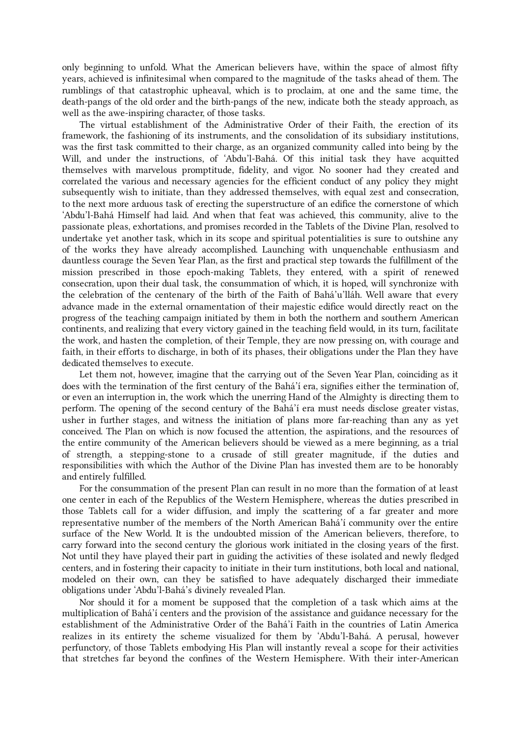only beginning to unfold. What the American believers have, within the space of almost fifty years, achieved is infinitesimal when compared to the magnitude of the tasks ahead of them. The rumblings of that catastrophic upheaval, which is to proclaim, at one and the same time, the death-pangs of the old order and the birth-pangs of the new, indicate both the steady approach, as well as the awe-inspiring character, of those tasks.

The virtual establishment of the Administrative Order of their Faith, the erection of its framework, the fashioning of its instruments, and the consolidation of its subsidiary institutions, was the first task committed to their charge, as an organized community called into being by the Will, and under the instructions, of 'Abdu'l-Bahá. Of this initial task they have acquitted themselves with marvelous promptitude, fidelity, and vigor. No sooner had they created and correlated the various and necessary agencies for the efficient conduct of any policy they might subsequently wish to initiate, than they addressed themselves, with equal zest and consecration, to the next more arduous task of erecting the superstructure of an edifice the cornerstone of which 'Abdu'l‑Bahá Himself had laid. And when that feat was achieved, this community, alive to the passionate pleas, exhortations, and promises recorded in the Tablets of the Divine Plan, resolved to undertake yet another task, which in its scope and spiritual potentialities is sure to outshine any of the works they have already accomplished. Launching with unquenchable enthusiasm and dauntless courage the Seven Year Plan, as the first and practical step towards the fulfillment of the mission prescribed in those epoch-making Tablets, they entered, with a spirit of renewed consecration, upon their dual task, the consummation of which, it is hoped, will synchronize with the celebration of the centenary of the birth of the Faith of Bahá'u'lláh. Well aware that every advance made in the external ornamentation of their majestic edifice would directly react on the progress of the teaching campaign initiated by them in both the northern and southern American continents, and realizing that every victory gained in the teaching field would, in its turn, facilitate the work, and hasten the completion, of their Temple, they are now pressing on, with courage and faith, in their efforts to discharge, in both of its phases, their obligations under the Plan they have dedicated themselves to execute.

Let them not, however, imagine that the carrying out of the Seven Year Plan, coinciding as it does with the termination of the first century of the Bahá'í era, signifies either the termination of, or even an interruption in, the work which the unerring Hand of the Almighty is directing them to perform. The opening of the second century of the Bahá'í era must needs disclose greater vistas, usher in further stages, and witness the initiation of plans more far-reaching than any as yet conceived. The Plan on which is now focused the attention, the aspirations, and the resources of the entire community of the American believers should be viewed as a mere beginning, as a trial of strength, a stepping-stone to a crusade of still greater magnitude, if the duties and responsibilities with which the Author of the Divine Plan has invested them are to be honorably and entirely fulfilled.

<span id="page-6-0"></span>For the consummation of the present Plan can result in no more than the formation of at least one center in each of the Republics of the Western Hemisphere, whereas the duties prescribed in those Tablets call for a wider diffusion, and imply the scattering of a far greater and more representative number of the members of the North American Bahá'í community over the entire surface of the New World. It is the undoubted mission of the American believers, therefore, to carry forward into the second century the glorious work initiated in the closing years of the first. Not until they have played their part in guiding the activities of these isolated and newly fledged centers, and in fostering their capacity to initiate in their turn institutions, both local and national, modeled on their own, can they be satisfied to have adequately discharged their immediate obligations under 'Abdu'l‑Bahá's divinely revealed Plan.

<span id="page-6-1"></span>Nor should it for a moment be supposed that the completion of a task which aims at the multiplication of Bahá'í centers and the provision of the assistance and guidance necessary for the establishment of the Administrative Order of the Bahá'í Faith in the countries of Latin America realizes in its entirety the scheme visualized for them by 'Abdu'l‑Bahá. A perusal, however perfunctory, of those Tablets embodying His Plan will instantly reveal a scope for their activities that stretches far beyond the confines of the Western Hemisphere. With their inter-American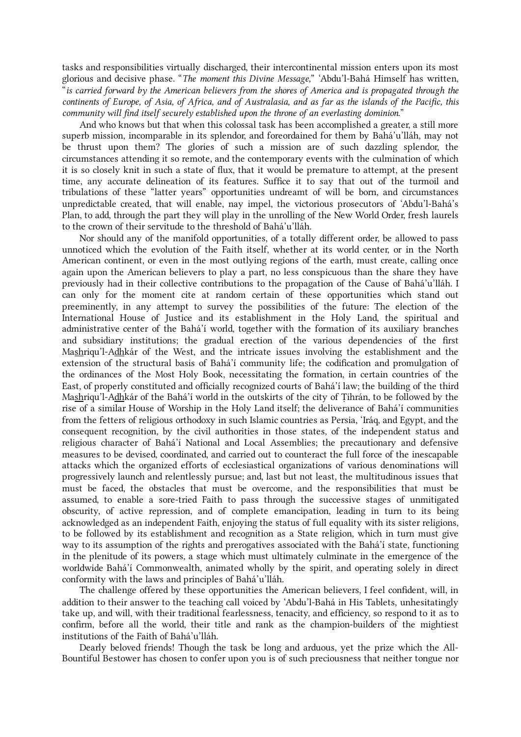tasks and responsibilities virtually discharged, their intercontinental mission enters upon its most glorious and decisive phase. "The moment this Divine Message," 'Abdu'l-Bahá Himself has written, "is carried forward by the American believers from the shores of America and is propagated through the continents of Europe, of Asia, of Africa, and of Australasia, and as far as the islands of the Pacific, this community will find itself securely established upon the throne of an everlasting dominion."

<span id="page-7-0"></span>And who knows but that when this colossal task has been accomplished a greater, a still more superb mission, incomparable in its splendor, and foreordained for them by Bahá'u'lláh, may not be thrust upon them? The glories of such a mission are of such dazzling splendor, the circumstances attending it so remote, and the contemporary events with the culmination of which it is so closely knit in such a state of flux, that it would be premature to attempt, at the present time, any accurate delineation of its features. Suffice it to say that out of the turmoil and tribulations of these "latter years" opportunities undreamt of will be born, and circumstances unpredictable created, that will enable, nay impel, the victorious prosecutors of 'Abdu'l-Bahá's Plan, to add, through the part they will play in the unrolling of the New World Order, fresh laurels to the crown of their servitude to the threshold of Bahá'u'lláh.

<span id="page-7-1"></span>Nor should any of the manifold opportunities, of a totally different order, be allowed to pass unnoticed which the evolution of the Faith itself, whether at its world center, or in the North American continent, or even in the most outlying regions of the earth, must create, calling once again upon the American believers to play a part, no less conspicuous than the share they have previously had in their collective contributions to the propagation of the Cause of Bahá'u'lláh. I can only for the moment cite at random certain of these opportunities which stand out preeminently, in any attempt to survey the possibilities of the future: The election of the International House of Justice and its establishment in the Holy Land, the spiritual and administrative center of the Bahá'í world, together with the formation of its auxiliary branches and subsidiary institutions; the gradual erection of the various dependencies of the first Mashriqu'l-Adhkár of the West, and the intricate issues involving the establishment and the extension of the structural basis of Bahá'í community life; the codification and promulgation of the ordinances of the Most Holy Book, necessitating the formation, in certain countries of the East, of properly constituted and officially recognized courts of Bahá'í law; the building of the third Mashriqu'l-Adhkár of the Bahá'í world in the outskirts of the city of Ṭihrán, to be followed by the rise of a similar House of Worship in the Holy Land itself; the deliverance of Bahá'í communities from the fetters of religious orthodoxy in such Islamic countries as Persia, 'Iráq, and Egypt, and the consequent recognition, by the civil authorities in those states, of the independent status and religious character of Bahá'í National and Local Assemblies; the precautionary and defensive measures to be devised, coordinated, and carried out to counteract the full force of the inescapable attacks which the organized efforts of ecclesiastical organizations of various denominations will progressively launch and relentlessly pursue; and, last but not least, the multitudinous issues that must be faced, the obstacles that must be overcome, and the responsibilities that must be assumed, to enable a sore-tried Faith to pass through the successive stages of unmitigated obscurity, of active repression, and of complete emancipation, leading in turn to its being acknowledged as an independent Faith, enjoying the status of full equality with its sister religions, to be followed by its establishment and recognition as a State religion, which in turn must give way to its assumption of the rights and prerogatives associated with the Bahá'í state, functioning in the plenitude of its powers, a stage which must ultimately culminate in the emergence of the worldwide Bahá'í Commonwealth, animated wholly by the spirit, and operating solely in direct conformity with the laws and principles of Bahá'u'lláh.

The challenge offered by these opportunities the American believers, I feel confident, will, in addition to their answer to the teaching call voiced by 'Abdu'l-Bahá in His Tablets, unhesitatingly take up, and will, with their traditional fearlessness, tenacity, and efficiency, so respond to it as to confirm, before all the world, their title and rank as the champion-builders of the mightiest institutions of the Faith of Bahá'u'lláh.

<span id="page-7-2"></span>Dearly beloved friends! Though the task be long and arduous, yet the prize which the All-Bountiful Bestower has chosen to confer upon you is of such preciousness that neither tongue nor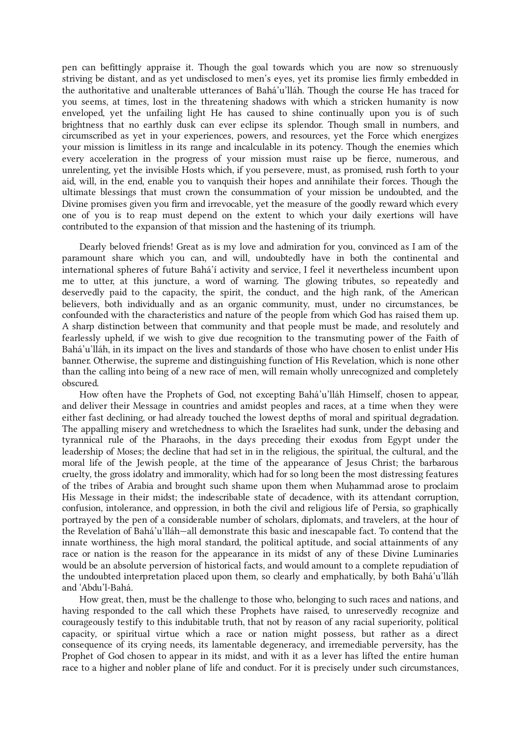pen can befittingly appraise it. Though the goal towards which you are now so strenuously striving be distant, and as yet undisclosed to men's eyes, yet its promise lies firmly embedded in the authoritative and unalterable utterances of Bahá'u'lláh. Though the course He has traced for you seems, at times, lost in the threatening shadows with which a stricken humanity is now enveloped, yet the unfailing light He has caused to shine continually upon you is of such brightness that no earthly dusk can ever eclipse its splendor. Though small in numbers, and circumscribed as yet in your experiences, powers, and resources, yet the Force which energizes your mission is limitless in its range and incalculable in its potency. Though the enemies which every acceleration in the progress of your mission must raise up be fierce, numerous, and unrelenting, yet the invisible Hosts which, if you persevere, must, as promised, rush forth to your aid, will, in the end, enable you to vanquish their hopes and annihilate their forces. Though the ultimate blessings that must crown the consummation of your mission be undoubted, and the Divine promises given you firm and irrevocable, yet the measure of the goodly reward which every one of you is to reap must depend on the extent to which your daily exertions will have contributed to the expansion of that mission and the hastening of its triumph.

<span id="page-8-0"></span>Dearly beloved friends! Great as is my love and admiration for you, convinced as I am of the paramount share which you can, and will, undoubtedly have in both the continental and international spheres of future Bahá'í activity and service, I feel it nevertheless incumbent upon me to utter, at this juncture, a word of warning. The glowing tributes, so repeatedly and deservedly paid to the capacity, the spirit, the conduct, and the high rank, of the American believers, both individually and as an organic community, must, under no circumstances, be confounded with the characteristics and nature of the people from which God has raised them up. A sharp distinction between that community and that people must be made, and resolutely and fearlessly upheld, if we wish to give due recognition to the transmuting power of the Faith of Bahá'u'lláh, in its impact on the lives and standards of those who have chosen to enlist under His banner. Otherwise, the supreme and distinguishing function of His Revelation, which is none other than the calling into being of a new race of men, will remain wholly unrecognized and completely obscured.

How often have the Prophets of God, not excepting Bahá'u'lláh Himself, chosen to appear, and deliver their Message in countries and amidst peoples and races, at a time when they were either fast declining, or had already touched the lowest depths of moral and spiritual degradation. The appalling misery and wretchedness to which the Israelites had sunk, under the debasing and tyrannical rule of the Pharaohs, in the days preceding their exodus from Egypt under the leadership of Moses; the decline that had set in in the religious, the spiritual, the cultural, and the moral life of the Jewish people, at the time of the appearance of Jesus Christ; the barbarous cruelty, the gross idolatry and immorality, which had for so long been the most distressing features of the tribes of Arabia and brought such shame upon them when Muḥammad arose to proclaim His Message in their midst; the indescribable state of decadence, with its attendant corruption, confusion, intolerance, and oppression, in both the civil and religious life of Persia, so graphically portrayed by the pen of a considerable number of scholars, diplomats, and travelers, at the hour of the Revelation of Bahá'u'lláh—all demonstrate this basic and inescapable fact. To contend that the innate worthiness, the high moral standard, the political aptitude, and social attainments of any race or nation is the reason for the appearance in its midst of any of these Divine Luminaries would be an absolute perversion of historical facts, and would amount to a complete repudiation of the undoubted interpretation placed upon them, so clearly and emphatically, by both Bahá'u'lláh and 'Abdu'l‑Bahá.

How great, then, must be the challenge to those who, belonging to such races and nations, and having responded to the call which these Prophets have raised, to unreservedly recognize and courageously testify to this indubitable truth, that not by reason of any racial superiority, political capacity, or spiritual virtue which a race or nation might possess, but rather as a direct consequence of its crying needs, its lamentable degeneracy, and irremediable perversity, has the Prophet of God chosen to appear in its midst, and with it as a lever has lifted the entire human race to a higher and nobler plane of life and conduct. For it is precisely under such circumstances,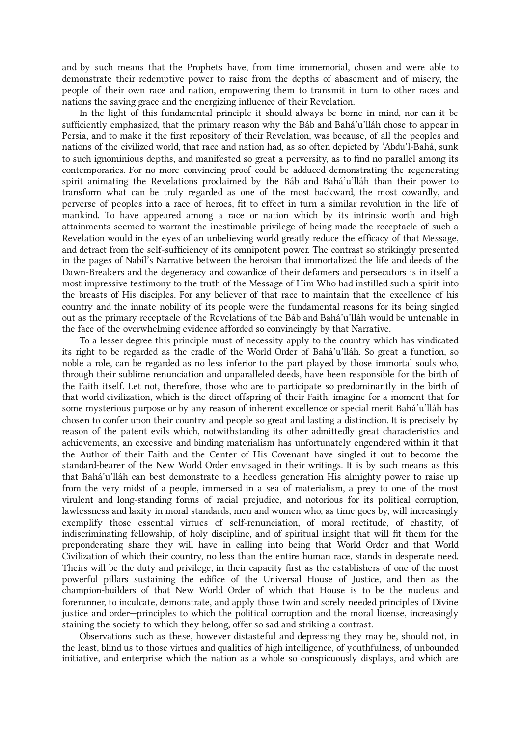and by such means that the Prophets have, from time immemorial, chosen and were able to demonstrate their redemptive power to raise from the depths of abasement and of misery, the people of their own race and nation, empowering them to transmit in turn to other races and nations the saving grace and the energizing influence of their Revelation.

In the light of this fundamental principle it should always be borne in mind, nor can it be sufficiently emphasized, that the primary reason why the Báb and Bahá'u'lláh chose to appear in Persia, and to make it the first repository of their Revelation, was because, of all the peoples and nations of the civilized world, that race and nation had, as so often depicted by 'Abdu'l‑Bahá, sunk to such ignominious depths, and manifested so great a perversity, as to find no parallel among its contemporaries. For no more convincing proof could be adduced demonstrating the regenerating spirit animating the Revelations proclaimed by the Báb and Bahá'u'lláh than their power to transform what can be truly regarded as one of the most backward, the most cowardly, and perverse of peoples into a race of heroes, fit to effect in turn a similar revolution in the life of mankind. To have appeared among a race or nation which by its intrinsic worth and high attainments seemed to warrant the inestimable privilege of being made the receptacle of such a Revelation would in the eyes of an unbelieving world greatly reduce the efficacy of that Message, and detract from the self-sufficiency of its omnipotent power. The contrast so strikingly presented in the pages of Nabíl's Narrative between the heroism that immortalized the life and deeds of the Dawn-Breakers and the degeneracy and cowardice of their defamers and persecutors is in itself a most impressive testimony to the truth of the Message of Him Who had instilled such a spirit into the breasts of His disciples. For any believer of that race to maintain that the excellence of his country and the innate nobility of its people were the fundamental reasons for its being singled out as the primary receptacle of the Revelations of the Báb and Bahá'u'lláh would be untenable in the face of the overwhelming evidence afforded so convincingly by that Narrative.

To a lesser degree this principle must of necessity apply to the country which has vindicated its right to be regarded as the cradle of the World Order of Bahá'u'lláh. So great a function, so noble a role, can be regarded as no less inferior to the part played by those immortal souls who, through their sublime renunciation and unparalleled deeds, have been responsible for the birth of the Faith itself. Let not, therefore, those who are to participate so predominantly in the birth of that world civilization, which is the direct offspring of their Faith, imagine for a moment that for some mysterious purpose or by any reason of inherent excellence or special merit Bahá'u'lláh has chosen to confer upon their country and people so great and lasting a distinction. It is precisely by reason of the patent evils which, notwithstanding its other admittedly great characteristics and achievements, an excessive and binding materialism has unfortunately engendered within it that the Author of their Faith and the Center of His Covenant have singled it out to become the standard-bearer of the New World Order envisaged in their writings. It is by such means as this that Bahá'u'lláh can best demonstrate to a heedless generation His almighty power to raise up from the very midst of a people, immersed in a sea of materialism, a prey to one of the most virulent and long-standing forms of racial prejudice, and notorious for its political corruption, lawlessness and laxity in moral standards, men and women who, as time goes by, will increasingly exemplify those essential virtues of self-renunciation, of moral rectitude, of chastity, of indiscriminating fellowship, of holy discipline, and of spiritual insight that will fit them for the preponderating share they will have in calling into being that World Order and that World Civilization of which their country, no less than the entire human race, stands in desperate need. Theirs will be the duty and privilege, in their capacity first as the establishers of one of the most powerful pillars sustaining the edifice of the Universal House of Justice, and then as the champion-builders of that New World Order of which that House is to be the nucleus and forerunner, to inculcate, demonstrate, and apply those twin and sorely needed principles of Divine justice and order—principles to which the political corruption and the moral license, increasingly staining the society to which they belong, offer so sad and striking a contrast.

<span id="page-9-0"></span>Observations such as these, however distasteful and depressing they may be, should not, in the least, blind us to those virtues and qualities of high intelligence, of youthfulness, of unbounded initiative, and enterprise which the nation as a whole so conspicuously displays, and which are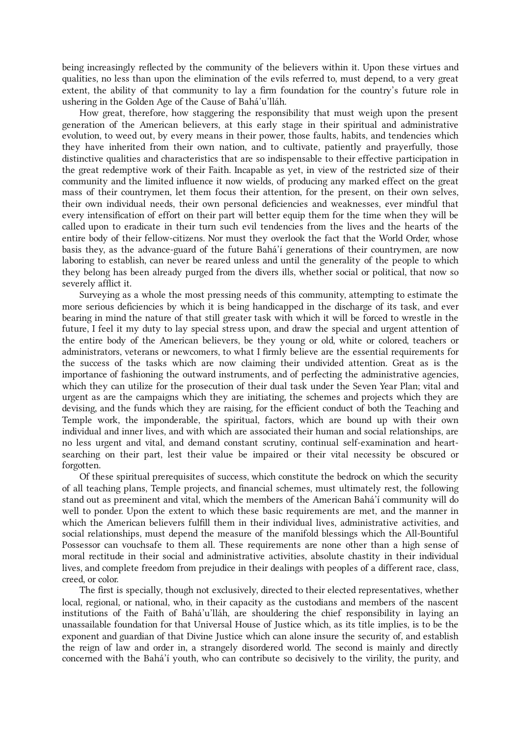being increasingly reflected by the community of the believers within it. Upon these virtues and qualities, no less than upon the elimination of the evils referred to, must depend, to a very great extent, the ability of that community to lay a firm foundation for the country's future role in ushering in the Golden Age of the Cause of Bahá'u'lláh.

<span id="page-10-0"></span>How great, therefore, how staggering the responsibility that must weigh upon the present generation of the American believers, at this early stage in their spiritual and administrative evolution, to weed out, by every means in their power, those faults, habits, and tendencies which they have inherited from their own nation, and to cultivate, patiently and prayerfully, those distinctive qualities and characteristics that are so indispensable to their effective participation in the great redemptive work of their Faith. Incapable as yet, in view of the restricted size of their community and the limited influence it now wields, of producing any marked effect on the great mass of their countrymen, let them focus their attention, for the present, on their own selves, their own individual needs, their own personal deficiencies and weaknesses, ever mindful that every intensification of effort on their part will better equip them for the time when they will be called upon to eradicate in their turn such evil tendencies from the lives and the hearts of the entire body of their fellow-citizens. Nor must they overlook the fact that the World Order, whose basis they, as the advance-guard of the future Bahá'í generations of their countrymen, are now laboring to establish, can never be reared unless and until the generality of the people to which they belong has been already purged from the divers ills, whether social or political, that now so severely afflict it.

<span id="page-10-1"></span>Surveying as a whole the most pressing needs of this community, attempting to estimate the more serious deficiencies by which it is being handicapped in the discharge of its task, and ever bearing in mind the nature of that still greater task with which it will be forced to wrestle in the future, I feel it my duty to lay special stress upon, and draw the special and urgent attention of the entire body of the American believers, be they young or old, white or colored, teachers or administrators, veterans or newcomers, to what I firmly believe are the essential requirements for the success of the tasks which are now claiming their undivided attention. Great as is the importance of fashioning the outward instruments, and of perfecting the administrative agencies, which they can utilize for the prosecution of their dual task under the Seven Year Plan; vital and urgent as are the campaigns which they are initiating, the schemes and projects which they are devising, and the funds which they are raising, for the efficient conduct of both the Teaching and Temple work, the imponderable, the spiritual, factors, which are bound up with their own individual and inner lives, and with which are associated their human and social relationships, are no less urgent and vital, and demand constant scrutiny, continual self-examination and heartsearching on their part, lest their value be impaired or their vital necessity be obscured or forgotten.

Of these spiritual prerequisites of success, which constitute the bedrock on which the security of all teaching plans, Temple projects, and financial schemes, must ultimately rest, the following stand out as preeminent and vital, which the members of the American Bahá'í community will do well to ponder. Upon the extent to which these basic requirements are met, and the manner in which the American believers fulfill them in their individual lives, administrative activities, and social relationships, must depend the measure of the manifold blessings which the All-Bountiful Possessor can vouchsafe to them all. These requirements are none other than a high sense of moral rectitude in their social and administrative activities, absolute chastity in their individual lives, and complete freedom from prejudice in their dealings with peoples of a different race, class, creed, or color.

The first is specially, though not exclusively, directed to their elected representatives, whether local, regional, or national, who, in their capacity as the custodians and members of the nascent institutions of the Faith of Bahá'u'lláh, are shouldering the chief responsibility in laying an unassailable foundation for that Universal House of Justice which, as its title implies, is to be the exponent and guardian of that Divine Justice which can alone insure the security of, and establish the reign of law and order in, a strangely disordered world. The second is mainly and directly concerned with the Bahá'í youth, who can contribute so decisively to the virility, the purity, and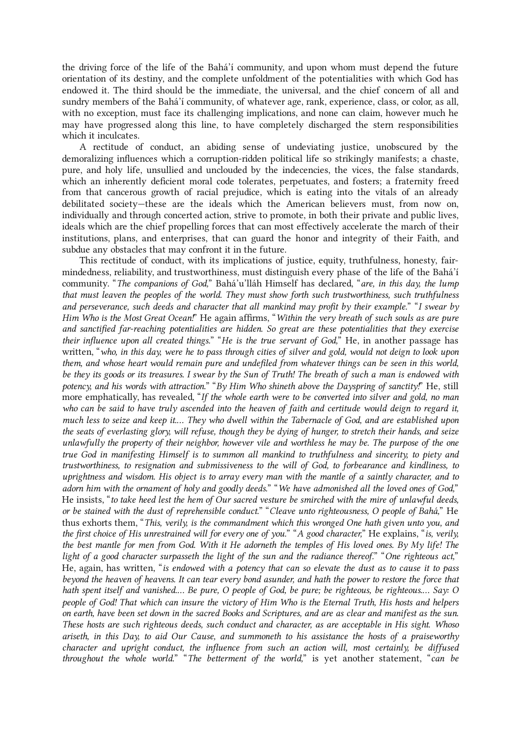the driving force of the life of the Bahá'í community, and upon whom must depend the future orientation of its destiny, and the complete unfoldment of the potentialities with which God has endowed it. The third should be the immediate, the universal, and the chief concern of all and sundry members of the Bahá'í community, of whatever age, rank, experience, class, or color, as all, with no exception, must face its challenging implications, and none can claim, however much he may have progressed along this line, to have completely discharged the stern responsibilities which it inculcates.

<span id="page-11-0"></span>A rectitude of conduct, an abiding sense of undeviating justice, unobscured by the demoralizing influences which a corruption-ridden political life so strikingly manifests; a chaste, pure, and holy life, unsullied and unclouded by the indecencies, the vices, the false standards, which an inherently deficient moral code tolerates, perpetuates, and fosters; a fraternity freed from that cancerous growth of racial prejudice, which is eating into the vitals of an already debilitated society—these are the ideals which the American believers must, from now on, individually and through concerted action, strive to promote, in both their private and public lives, ideals which are the chief propelling forces that can most effectively accelerate the march of their institutions, plans, and enterprises, that can guard the honor and integrity of their Faith, and subdue any obstacles that may confront it in the future.

This rectitude of conduct, with its implications of justice, equity, truthfulness, honesty, fairmindedness, reliability, and trustworthiness, must distinguish every phase of the life of the Bahá'í community. "The companions of God," Bahá'u'lláh Himself has declared, "are, in this day, the lump that must leaven the peoples of the world. They must show forth such trustworthiness, such truthfulness and perseverance, such deeds and character that all mankind may profit by their example." "I swear by Him Who is the Most Great Ocean!" He again affirms, "Within the very breath of such souls as are pure and sanctified far-reaching potentialities are hidden. So great are these potentialities that they exercise their influence upon all created things." "He is the true servant of God," He, in another passage has written, "who, in this day, were he to pass through cities of silver and gold, would not deign to look upon them, and whose heart would remain pure and undefiled from whatever things can be seen in this world, be they its goods or its treasures. I swear by the Sun of Truth! The breath of such a man is endowed with potency, and his words with attraction." "By Him Who shineth above the Dayspring of sanctity!" He, still more emphatically, has revealed, "If the whole earth were to be converted into silver and gold, no man who can be said to have truly ascended into the heaven of faith and certitude would deign to regard it, much less to seize and keep it.… They who dwell within the Tabernacle of God, and are established upon the seats of everlasting glory, will refuse, though they be dying of hunger, to stretch their hands, and seize unlawfully the property of their neighbor, however vile and worthless he may be. The purpose of the one true God in manifesting Himself is to summon all mankind to truthfulness and sincerity, to piety and trustworthiness, to resignation and submissiveness to the will of God, to forbearance and kindliness, to uprightness and wisdom. His object is to array every man with the mantle of a saintly character, and to adorn him with the ornament of holy and goodly deeds." "We have admonished all the loved ones of God," He insists, "to take heed lest the hem of Our sacred vesture be smirched with the mire of unlawful deeds, or be stained with the dust of reprehensible conduct." "Cleave unto righteousness, O people of Bahá," He thus exhorts them, "This, verily, is the commandment which this wronged One hath given unto you, and the first choice of His unrestrained will for every one of you." "A good character," He explains, "is, verily, the best mantle for men from God. With it He adorneth the temples of His loved ones. By My life! The light of a good character surpasseth the light of the sun and the radiance thereof." "One righteous act," He, again, has written, "is endowed with a potency that can so elevate the dust as to cause it to pass beyond the heaven of heavens. It can tear every bond asunder, and hath the power to restore the force that hath spent itself and vanished.... Be pure, O people of God, be pure; be righteous, be righteous.... Say: O people of God! That which can insure the victory of Him Who is the Eternal Truth, His hosts and helpers on earth, have been set down in the sacred Books and Scriptures, and are as clear and manifest as the sun. These hosts are such righteous deeds, such conduct and character, as are acceptable in His sight. Whoso ariseth, in this Day, to aid Our Cause, and summoneth to his assistance the hosts of a praiseworthy character and upright conduct, the influence from such an action will, most certainly, be diffused throughout the whole world." "The betterment of the world," is yet another statement, "can be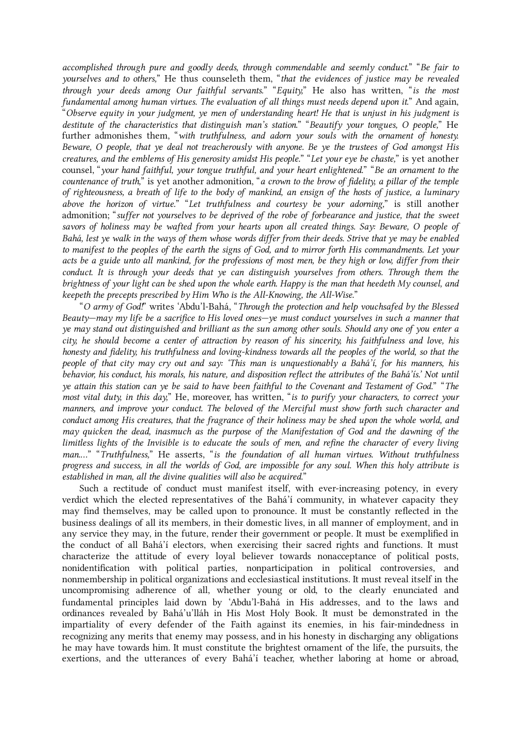accomplished through pure and goodly deeds, through commendable and seemly conduct." "Be fair to yourselves and to others," He thus counseleth them, "that the evidences of justice may be revealed through your deeds among Our faithful servants." "Equity," He also has written, "is the most fundamental among human virtues. The evaluation of all things must needs depend upon it." And again, "Observe equity in your judgment, ye men of understanding heart! He that is unjust in his judgment is destitute of the characteristics that distinguish man's station." "Beautify your tongues, O people," He further admonishes them, "with truthfulness, and adorn your souls with the ornament of honesty. Beware, O people, that ye deal not treacherously with anyone. Be ye the trustees of God amongst His creatures, and the emblems of His generosity amidst His people." "Let your eye be chaste," is yet another counsel, "your hand faithful, your tongue truthful, and your heart enlightened." "Be an ornament to the countenance of truth," is yet another admonition, "a crown to the brow of fidelity, a pillar of the temple of righteousness, a breath of life to the body of mankind, an ensign of the hosts of justice, a luminary above the horizon of virtue." "Let truthfulness and courtesy be your adorning," is still another admonition; "suffer not yourselves to be deprived of the robe of forbearance and justice, that the sweet savors of holiness may be wafted from your hearts upon all created things. Say: Beware, O people of Bahá, lest ye walk in the ways of them whose words differ from their deeds. Strive that ye may be enabled to manifest to the peoples of the earth the signs of God, and to mirror forth His commandments. Let your acts be a guide unto all mankind, for the professions of most men, be they high or low, differ from their conduct. It is through your deeds that ye can distinguish yourselves from others. Through them the brightness of your light can be shed upon the whole earth. Happy is the man that heedeth My counsel, and keepeth the precepts prescribed by Him Who is the All-Knowing, the All-Wise."

"O army of God!" writes 'Abdu'l‑Bahá, "Through the protection and help vouchsafed by the Blessed Beauty—may my life be a sacrifice to His loved ones—ye must conduct yourselves in such a manner that ye may stand out distinguished and brilliant as the sun among other souls. Should any one of you enter a city, he should become a center of attraction by reason of his sincerity, his faithfulness and love, his honesty and fidelity, his truthfulness and loving-kindness towards all the peoples of the world, so that the people of that city may cry out and say: 'This man is unquestionably a Bahá'í, for his manners, his behavior, his conduct, his morals, his nature, and disposition reflect the attributes of the Bahá'ís.' Not until ye attain this station can ye be said to have been faithful to the Covenant and Testament of God." "The most vital duty, in this day," He, moreover, has written, "is to purify your characters, to correct your manners, and improve your conduct. The beloved of the Merciful must show forth such character and conduct among His creatures, that the fragrance of their holiness may be shed upon the whole world, and may quicken the dead, inasmuch as the purpose of the Manifestation of God and the dawning of the limitless lights of the Invisible is to educate the souls of men, and refine the character of every living man.…" "Truthfulness," He asserts, "is the foundation of all human virtues. Without truthfulness progress and success, in all the worlds of God, are impossible for any soul. When this holy attribute is established in man, all the divine qualities will also be acquired."

Such a rectitude of conduct must manifest itself, with ever-increasing potency, in every verdict which the elected representatives of the Bahá'í community, in whatever capacity they may find themselves, may be called upon to pronounce. It must be constantly reflected in the business dealings of all its members, in their domestic lives, in all manner of employment, and in any service they may, in the future, render their government or people. It must be exemplified in the conduct of all Bahá'í electors, when exercising their sacred rights and functions. It must characterize the attitude of every loyal believer towards nonacceptance of political posts, nonidentification with political parties, nonparticipation in political controversies, and nonmembership in political organizations and ecclesiastical institutions. It must reveal itself in the uncompromising adherence of all, whether young or old, to the clearly enunciated and fundamental principles laid down by 'Abdu'l‑Bahá in His addresses, and to the laws and ordinances revealed by Bahá'u'lláh in His Most Holy Book. It must be demonstrated in the impartiality of every defender of the Faith against its enemies, in his fair-mindedness in recognizing any merits that enemy may possess, and in his honesty in discharging any obligations he may have towards him. It must constitute the brightest ornament of the life, the pursuits, the exertions, and the utterances of every Bahá'í teacher, whether laboring at home or abroad,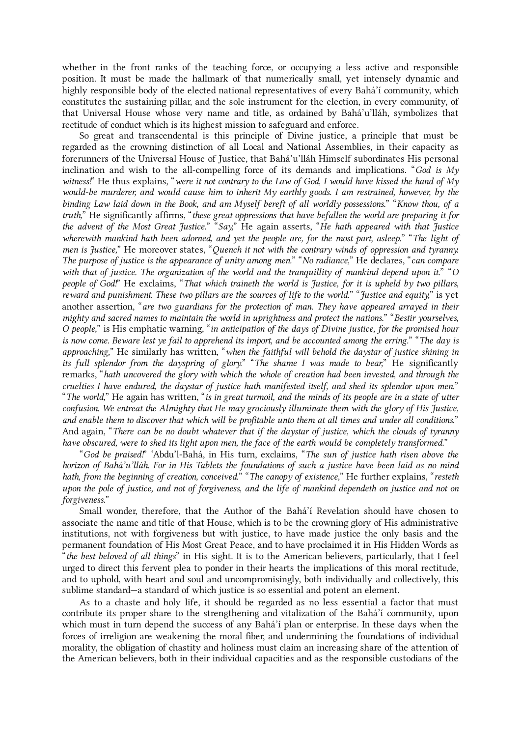whether in the front ranks of the teaching force, or occupying a less active and responsible position. It must be made the hallmark of that numerically small, yet intensely dynamic and highly responsible body of the elected national representatives of every Bahá'í community, which constitutes the sustaining pillar, and the sole instrument for the election, in every community, of that Universal House whose very name and title, as ordained by Bahá'u'lláh, symbolizes that rectitude of conduct which is its highest mission to safeguard and enforce.

So great and transcendental is this principle of Divine justice, a principle that must be regarded as the crowning distinction of all Local and National Assemblies, in their capacity as forerunners of the Universal House of Justice, that Bahá'u'lláh Himself subordinates His personal inclination and wish to the all-compelling force of its demands and implications. "God is  $My$ witness!" He thus explains, "were it not contrary to the Law of God, I would have kissed the hand of My would-be murderer, and would cause him to inherit  $M\gamma$  earthly goods. I am restrained, however, by the binding Law laid down in the Book, and am Myself bereft of all worldly possessions." "Know thou, of a truth," He significantly affirms, "these great oppressions that have befallen the world are preparing it for the advent of the Most Great Justice." "Say," He again asserts, "He hath appeared with that Justice wherewith mankind hath been adorned, and yet the people are, for the most part, asleep." "The light of men is Justice," He moreover states, "Quench it not with the contrary winds of oppression and tyranny. The purpose of justice is the appearance of unity among men." "No radiance," He declares, "can compare with that of justice. The organization of the world and the tranquillity of mankind depend upon it." "O people of God!" He exclaims, "That which traineth the world is Justice, for it is upheld by two pillars, reward and punishment. These two pillars are the sources of life to the world." "Justice and equity," is yet another assertion, "are two guardians for the protection of man. They have appeared arrayed in their mighty and sacred names to maintain the world in uprightness and protect the nations." "Bestir yourselves, O people," is His emphatic warning, "in anticipation of the days of Divine justice, for the promised hour is now come. Beware lest ye fail to apprehend its import, and be accounted among the erring." "The day is approaching," He similarly has written, "when the faithful will behold the daystar of justice shining in its full splendor from the dayspring of glory." "The shame I was made to bear," He significantly remarks, "hath uncovered the glory with which the whole of creation had been invested, and through the cruelties I have endured, the daystar of justice hath manifested itself, and shed its splendor upon men." "The world," He again has written, "is in great turmoil, and the minds of its people are in a state of utter confusion. We entreat the Almighty that He may graciously illuminate them with the glory of His Justice, and enable them to discover that which will be profitable unto them at all times and under all conditions." And again, "There can be no doubt whatever that if the daystar of justice, which the clouds of tyranny have obscured, were to shed its light upon men, the face of the earth would be completely transformed."

"God be praised!" 'Abdu'l‑Bahá, in His turn, exclaims, "The sun of justice hath risen above the horizon of Bahá'u'lláh. For in His Tablets the foundations of such a justice have been laid as no mind hath, from the beginning of creation, conceived." "The canopy of existence," He further explains, "resteth upon the pole of justice, and not of forgiveness, and the life of mankind dependeth on justice and not on forgiveness."

Small wonder, therefore, that the Author of the Bahá'í Revelation should have chosen to associate the name and title of that House, which is to be the crowning glory of His administrative institutions, not with forgiveness but with justice, to have made justice the only basis and the permanent foundation of His Most Great Peace, and to have proclaimed it in His Hidden Words as "the best beloved of all things" in His sight. It is to the American believers, particularly, that I feel urged to direct this fervent plea to ponder in their hearts the implications of this moral rectitude, and to uphold, with heart and soul and uncompromisingly, both individually and collectively, this sublime standard—a standard of which justice is so essential and potent an element.

<span id="page-13-0"></span>As to a chaste and holy life, it should be regarded as no less essential a factor that must contribute its proper share to the strengthening and vitalization of the Bahá'í community, upon which must in turn depend the success of any Bahá'í plan or enterprise. In these days when the forces of irreligion are weakening the moral fiber, and undermining the foundations of individual morality, the obligation of chastity and holiness must claim an increasing share of the attention of the American believers, both in their individual capacities and as the responsible custodians of the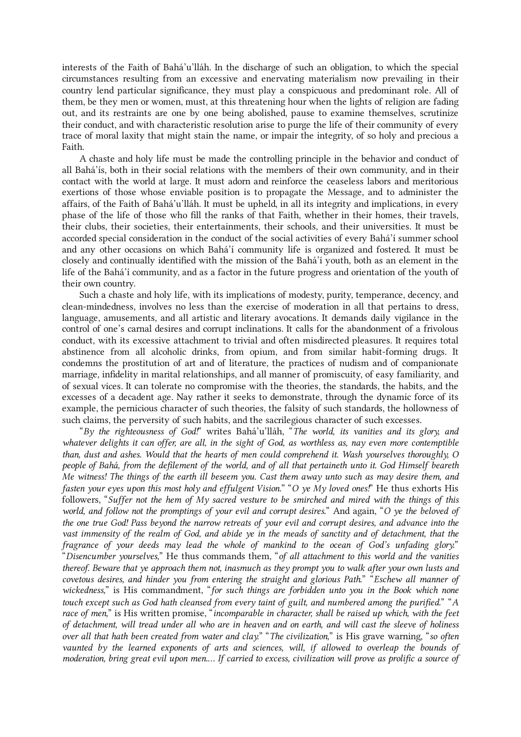interests of the Faith of Bahá'u'lláh. In the discharge of such an obligation, to which the special circumstances resulting from an excessive and enervating materialism now prevailing in their country lend particular significance, they must play a conspicuous and predominant role. All of them, be they men or women, must, at this threatening hour when the lights of religion are fading out, and its restraints are one by one being abolished, pause to examine themselves, scrutinize their conduct, and with characteristic resolution arise to purge the life of their community of every trace of moral laxity that might stain the name, or impair the integrity, of so holy and precious a Faith.

A chaste and holy life must be made the controlling principle in the behavior and conduct of all Bahá'ís, both in their social relations with the members of their own community, and in their contact with the world at large. It must adorn and reinforce the ceaseless labors and meritorious exertions of those whose enviable position is to propagate the Message, and to administer the affairs, of the Faith of Bahá'u'lláh. It must be upheld, in all its integrity and implications, in every phase of the life of those who fill the ranks of that Faith, whether in their homes, their travels, their clubs, their societies, their entertainments, their schools, and their universities. It must be accorded special consideration in the conduct of the social activities of every Bahá'í summer school and any other occasions on which Bahá'í community life is organized and fostered. It must be closely and continually identified with the mission of the Bahá'í youth, both as an element in the life of the Bahá'í community, and as a factor in the future progress and orientation of the youth of their own country.

Such a chaste and holy life, with its implications of modesty, purity, temperance, decency, and clean-mindedness, involves no less than the exercise of moderation in all that pertains to dress, language, amusements, and all artistic and literary avocations. It demands daily vigilance in the control of one's carnal desires and corrupt inclinations. It calls for the abandonment of a frivolous conduct, with its excessive attachment to trivial and often misdirected pleasures. It requires total abstinence from all alcoholic drinks, from opium, and from similar habit-forming drugs. It condemns the prostitution of art and of literature, the practices of nudism and of companionate marriage, infidelity in marital relationships, and all manner of promiscuity, of easy familiarity, and of sexual vices. It can tolerate no compromise with the theories, the standards, the habits, and the excesses of a decadent age. Nay rather it seeks to demonstrate, through the dynamic force of its example, the pernicious character of such theories, the falsity of such standards, the hollowness of such claims, the perversity of such habits, and the sacrilegious character of such excesses.

"By the righteousness of God!" writes Bahá'u'lláh, "The world, its vanities and its glory, and whatever delights it can offer, are all, in the sight of God, as worthless as, nay even more contemptible than, dust and ashes. Would that the hearts of men could comprehend it. Wash yourselves thoroughly, O people of Bahá, from the defilement of the world, and of all that pertaineth unto it. God Himself beareth Me witness! The things of the earth ill beseem you. Cast them away unto such as may desire them, and fasten your eyes upon this most holy and effulgent Vision." "O ye My loved ones!" He thus exhorts His followers, "Suffer not the hem of My sacred vesture to be smirched and mired with the things of this world, and follow not the promptings of your evil and corrupt desires." And again, "O ye the beloved of the one true God! Pass beyond the narrow retreats of your evil and corrupt desires, and advance into the vast immensity of the realm of God, and abide ye in the meads of sanctity and of detachment, that the fragrance of your deeds may lead the whole of mankind to the ocean of God's unfading glory." "Disencumber yourselves," He thus commands them, "of all attachment to this world and the vanities thereof. Beware that ye approach them not, inasmuch as they prompt you to walk after your own lusts and covetous desires, and hinder you from entering the straight and glorious Path." "Eschew all manner of wickedness," is His commandment, "for such things are forbidden unto you in the Book which none touch except such as God hath cleansed from every taint of guilt, and numbered among the purified." "A race of men," is His written promise, "incomparable in character, shall be raised up which, with the feet of detachment, will tread under all who are in heaven and on earth, and will cast the sleeve of holiness over all that hath been created from water and clay." "The civilization," is His grave warning, "so often vaunted by the learned exponents of arts and sciences, will, if allowed to overleap the bounds of moderation, bring great evil upon men.… If carried to excess, civilization will prove as prolific a source of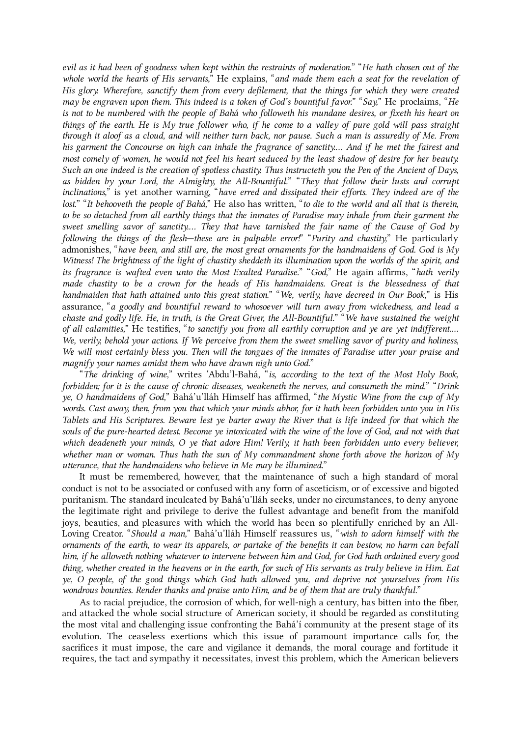evil as it had been of goodness when kept within the restraints of moderation." "He hath chosen out of the whole world the hearts of His servants," He explains, "and made them each a seat for the revelation of His glory. Wherefore, sanctify them from every defilement, that the things for which they were created may be engraven upon them. This indeed is a token of God's bountiful favor." "Say," He proclaims, "He is not to be numbered with the people of Bahá who followeth his mundane desires, or fixeth his heart on things of the earth. He is My true follower who, if he come to a valley of pure gold will pass straight through it aloof as a cloud, and will neither turn back, nor pause. Such a man is assuredly of Me. From his garment the Concourse on high can inhale the fragrance of sanctity.… And if he met the fairest and most comely of women, he would not feel his heart seduced by the least shadow of desire for her beauty. Such an one indeed is the creation of spotless chastity. Thus instructeth you the Pen of the Ancient of Days, as bidden by your Lord, the Almighty, the All-Bountiful." "They that follow their lusts and corrupt inclinations," is yet another warning, "have erred and dissipated their efforts. They indeed are of the lost." "It behooveth the people of Bahá," He also has written, "to die to the world and all that is therein, to be so detached from all earthly things that the inmates of Paradise may inhale from their garment the sweet smelling savor of sanctity.… They that have tarnished the fair name of the Cause of God by following the things of the flesh—these are in palpable error!" "Purity and chastity," He particularly admonishes, "have been, and still are, the most great ornaments for the handmaidens of God. God is My Witness! The brightness of the light of chastity sheddeth its illumination upon the worlds of the spirit, and its fragrance is wafted even unto the Most Exalted Paradise." "God," He again affirms, "hath verily made chastity to be a crown for the heads of His handmaidens. Great is the blessedness of that handmaiden that hath attained unto this great station." "We, verily, have decreed in Our Book," is His assurance, "a goodly and bountiful reward to whosoever will turn away from wickedness, and lead a chaste and godly life. He, in truth, is the Great Giver, the All-Bountiful." "We have sustained the weight of all calamities," He testifies, "to sanctify you from all earthly corruption and ye are yet indifferent.… We, verily, behold your actions. If We perceive from them the sweet smelling savor of purity and holiness, We will most certainly bless you. Then will the tongues of the inmates of Paradise utter your praise and magnify your names amidst them who have drawn nigh unto God."

"The drinking of wine," writes 'Abdu'l‑Bahá, "is, according to the text of the Most Holy Book, forbidden; for it is the cause of chronic diseases, weakeneth the nerves, and consumeth the mind." "Drink ye, O handmaidens of God," Bahá'u'lláh Himself has affirmed, "the Mystic Wine from the cup of My words. Cast away, then, from you that which your minds abhor, for it hath been forbidden unto you in His Tablets and His Scriptures. Beware lest ye barter away the River that is life indeed for that which the souls of the pure-hearted detest. Become ye intoxicated with the wine of the love of God, and not with that which deadeneth your minds, O ye that adore Him! Verily, it hath been forbidden unto every believer, whether man or woman. Thus hath the sun of My commandment shone forth above the horizon of My utterance, that the handmaidens who believe in Me may be illumined."

It must be remembered, however, that the maintenance of such a high standard of moral conduct is not to be associated or confused with any form of asceticism, or of excessive and bigoted puritanism. The standard inculcated by Bahá'u'lláh seeks, under no circumstances, to deny anyone the legitimate right and privilege to derive the fullest advantage and benefit from the manifold joys, beauties, and pleasures with which the world has been so plentifully enriched by an All-Loving Creator. "Should a man," Bahá'u'lláh Himself reassures us, "wish to adorn himself with the ornaments of the earth, to wear its apparels, or partake of the benefits it can bestow, no harm can befall him, if he alloweth nothing whatever to intervene between him and God, for God hath ordained every good thing, whether created in the heavens or in the earth, for such of His servants as truly believe in Him. Eat ye, O people, of the good things which God hath allowed you, and deprive not yourselves from His wondrous bounties. Render thanks and praise unto Him, and be of them that are truly thankful."

<span id="page-15-0"></span>As to racial prejudice, the corrosion of which, for well-nigh a century, has bitten into the fiber, and attacked the whole social structure of American society, it should be regarded as constituting the most vital and challenging issue confronting the Bahá'í community at the present stage of its evolution. The ceaseless exertions which this issue of paramount importance calls for, the sacrifices it must impose, the care and vigilance it demands, the moral courage and fortitude it requires, the tact and sympathy it necessitates, invest this problem, which the American believers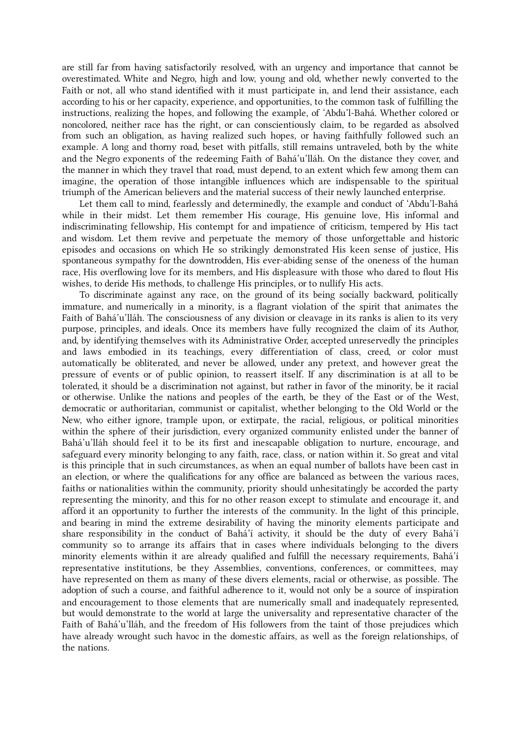are still far from having satisfactorily resolved, with an urgency and importance that cannot be overestimated. White and Negro, high and low, young and old, whether newly converted to the Faith or not, all who stand identified with it must participate in, and lend their assistance, each according to his or her capacity, experience, and opportunities, to the common task of fulfilling the instructions, realizing the hopes, and following the example, of 'Abdu'l-Bahá. Whether colored or noncolored, neither race has the right, or can conscientiously claim, to be regarded as absolved from such an obligation, as having realized such hopes, or having faithfully followed such an example. A long and thorny road, beset with pitfalls, still remains untraveled, both by the white and the Negro exponents of the redeeming Faith of Bahá'u'lláh. On the distance they cover, and the manner in which they travel that road, must depend, to an extent which few among them can imagine, the operation of those intangible influences which are indispensable to the spiritual triumph of the American believers and the material success of their newly launched enterprise.

Let them call to mind, fearlessly and determinedly, the example and conduct of 'Abdu'l-Bahá while in their midst. Let them remember His courage, His genuine love, His informal and indiscriminating fellowship, His contempt for and impatience of criticism, tempered by His tact and wisdom. Let them revive and perpetuate the memory of those unforgettable and historic episodes and occasions on which He so strikingly demonstrated His keen sense of justice, His spontaneous sympathy for the downtrodden, His ever-abiding sense of the oneness of the human race, His overflowing love for its members, and His displeasure with those who dared to flout His wishes, to deride His methods, to challenge His principles, or to nullify His acts.

To discriminate against any race, on the ground of its being socially backward, politically immature, and numerically in a minority, is a flagrant violation of the spirit that animates the Faith of Bahá'u'lláh. The consciousness of any division or cleavage in its ranks is alien to its very purpose, principles, and ideals. Once its members have fully recognized the claim of its Author, and, by identifying themselves with its Administrative Order, accepted unreservedly the principles and laws embodied in its teachings, every differentiation of class, creed, or color must automatically be obliterated, and never be allowed, under any pretext, and however great the pressure of events or of public opinion, to reassert itself. If any discrimination is at all to be tolerated, it should be a discrimination not against, but rather in favor of the minority, be it racial or otherwise. Unlike the nations and peoples of the earth, be they of the East or of the West, democratic or authoritarian, communist or capitalist, whether belonging to the Old World or the New, who either ignore, trample upon, or extirpate, the racial, religious, or political minorities within the sphere of their jurisdiction, every organized community enlisted under the banner of Bahá'u'lláh should feel it to be its first and inescapable obligation to nurture, encourage, and safeguard every minority belonging to any faith, race, class, or nation within it. So great and vital is this principle that in such circumstances, as when an equal number of ballots have been cast in an election, or where the qualifications for any office are balanced as between the various races, faiths or nationalities within the community, priority should unhesitatingly be accorded the party representing the minority, and this for no other reason except to stimulate and encourage it, and afford it an opportunity to further the interests of the community. In the light of this principle, and bearing in mind the extreme desirability of having the minority elements participate and share responsibility in the conduct of Bahá'í activity, it should be the duty of every Bahá'í community so to arrange its affairs that in cases where individuals belonging to the divers minority elements within it are already qualified and fulfill the necessary requirements, Bahá'í representative institutions, be they Assemblies, conventions, conferences, or committees, may have represented on them as many of these divers elements, racial or otherwise, as possible. The adoption of such a course, and faithful adherence to it, would not only be a source of inspiration and encouragement to those elements that are numerically small and inadequately represented, but would demonstrate to the world at large the universality and representative character of the Faith of Bahá'u'lláh, and the freedom of His followers from the taint of those prejudices which have already wrought such havoc in the domestic affairs, as well as the foreign relationships, of the nations.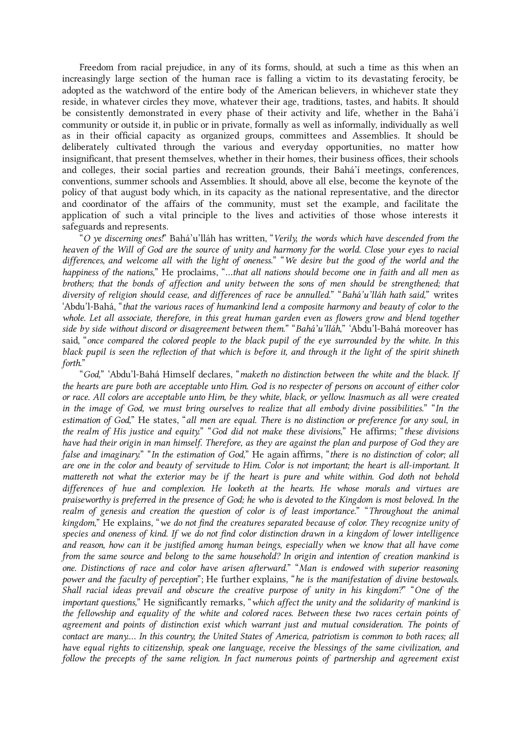Freedom from racial prejudice, in any of its forms, should, at such a time as this when an increasingly large section of the human race is falling a victim to its devastating ferocity, be adopted as the watchword of the entire body of the American believers, in whichever state they reside, in whatever circles they move, whatever their age, traditions, tastes, and habits. It should be consistently demonstrated in every phase of their activity and life, whether in the Bahá'í community or outside it, in public or in private, formally as well as informally, individually as well as in their official capacity as organized groups, committees and Assemblies. It should be deliberately cultivated through the various and everyday opportunities, no matter how insignificant, that present themselves, whether in their homes, their business offices, their schools and colleges, their social parties and recreation grounds, their Bahá'í meetings, conferences, conventions, summer schools and Assemblies. It should, above all else, become the keynote of the policy of that august body which, in its capacity as the national representative, and the director and coordinator of the affairs of the community, must set the example, and facilitate the application of such a vital principle to the lives and activities of those whose interests it safeguards and represents.

"O ye discerning ones!" Bahá'u'lláh has written, "Verily, the words which have descended from the heaven of the Will of God are the source of unity and harmony for the world. Close your eyes to racial differences, and welcome all with the light of oneness." "We desire but the good of the world and the happiness of the nations," He proclaims, "...that all nations should become one in faith and all men as brothers; that the bonds of affection and unity between the sons of men should be strengthened; that diversity of religion should cease, and differences of race be annulled." "Bahá'u'lláh hath said," writes 'Abdu'l‑Bahá, "that the various races of humankind lend a composite harmony and beauty of color to the whole. Let all associate, therefore, in this great human garden even as flowers grow and blend together side by side without discord or disagreement between them." "Bahá'u'lláh," 'Abdu'l-Bahá moreover has said, "once compared the colored people to the black pupil of the eye surrounded by the white. In this black pupil is seen the reflection of that which is before it, and through it the light of the spirit shineth forth."

"God," 'Abdu'l‑Bahá Himself declares, "maketh no distinction between the white and the black. If the hearts are pure both are acceptable unto Him. God is no respecter of persons on account of either color or race. All colors are acceptable unto Him, be they white, black, or yellow. Inasmuch as all were created in the image of God, we must bring ourselves to realize that all embody divine possibilities." "In the estimation of God," He states, "all men are equal. There is no distinction or preference for any soul, in the realm of His justice and equity." "God did not make these divisions," He affirms; "these divisions have had their origin in man himself. Therefore, as they are against the plan and purpose of God they are false and imaginary." "In the estimation of God," He again affirms, "there is no distinction of color; all are one in the color and beauty of servitude to Him. Color is not important; the heart is all-important. It mattereth not what the exterior may be if the heart is pure and white within. God doth not behold differences of hue and complexion. He looketh at the hearts. He whose morals and virtues are praiseworthy is preferred in the presence of God; he who is devoted to the Kingdom is most beloved. In the realm of genesis and creation the question of color is of least importance." "Throughout the animal kingdom," He explains, "we do not find the creatures separated because of color. They recognize unity of species and oneness of kind. If we do not find color distinction drawn in a kingdom of lower intelligence and reason, how can it be justified among human beings, especially when we know that all have come from the same source and belong to the same household? In origin and intention of creation mankind is one. Distinctions of race and color have arisen afterward." "Man is endowed with superior reasoning power and the faculty of perception"; He further explains, "he is the manifestation of divine bestowals. Shall racial ideas prevail and obscure the creative purpose of unity in his kingdom?" "One of the important questions," He significantly remarks, "which affect the unity and the solidarity of mankind is the fellowship and equality of the white and colored races. Between these two races certain points of agreement and points of distinction exist which warrant just and mutual consideration. The points of contact are many.… In this country, the United States of America, patriotism is common to both races; all have equal rights to citizenship, speak one language, receive the blessings of the same civilization, and follow the precepts of the same religion. In fact numerous points of partnership and agreement exist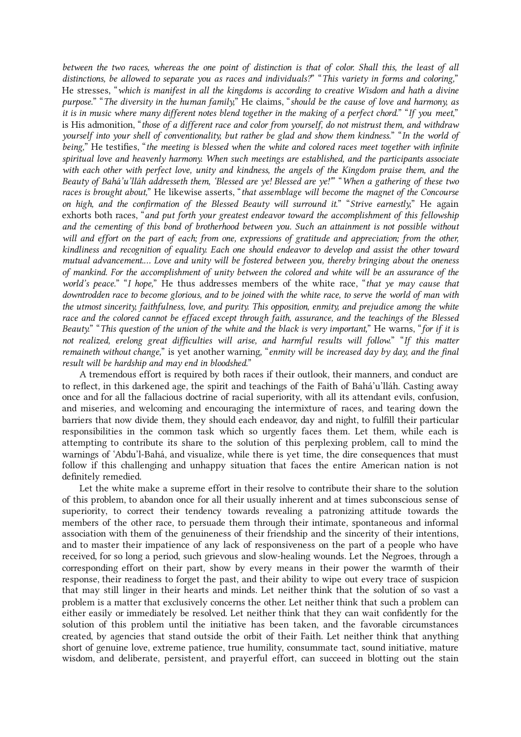between the two races, whereas the one point of distinction is that of color. Shall this, the least of all distinctions, be allowed to separate you as races and individuals?" "This variety in forms and coloring," He stresses, "which is manifest in all the kingdoms is according to creative Wisdom and hath a divine purpose." "The diversity in the human family," He claims, "should be the cause of love and harmony, as it is in music where many different notes blend together in the making of a perfect chord." "If you meet," is His admonition, "those of a different race and color from yourself, do not mistrust them, and withdraw yourself into your shell of conventionality, but rather be glad and show them kindness." "In the world of being," He testifies, "the meeting is blessed when the white and colored races meet together with infinite spiritual love and heavenly harmony. When such meetings are established, and the participants associate with each other with perfect love, unity and kindness, the angels of the Kingdom praise them, and the Beauty of Bahá'u'lláh addresseth them, 'Blessed are ye! Blessed are ye!"" "When a gathering of these two races is brought about," He likewise asserts, "that assemblage will become the magnet of the Concourse on high, and the confirmation of the Blessed Beauty will surround it." "Strive earnestly," He again exhorts both races, "and put forth your greatest endeavor toward the accomplishment of this fellowship and the cementing of this bond of brotherhood between you. Such an attainment is not possible without will and effort on the part of each; from one, expressions of gratitude and appreciation; from the other, kindliness and recognition of equality. Each one should endeavor to develop and assist the other toward mutual advancement.… Love and unity will be fostered between you, thereby bringing about the oneness of mankind. For the accomplishment of unity between the colored and white will be an assurance of the world's peace." "I hope," He thus addresses members of the white race, "that ye may cause that downtrodden race to become glorious, and to be joined with the white race, to serve the world of man with the utmost sincerity, faithfulness, love, and purity. This opposition, enmity, and prejudice among the white race and the colored cannot be effaced except through faith, assurance, and the teachings of the Blessed Beauty." "This question of the union of the white and the black is very important," He warns, "for if it is not realized, erelong great difficulties will arise, and harmful results will follow." "If this matter remaineth without change," is yet another warning, "enmity will be increased day by day, and the final result will be hardship and may end in bloodshed."

A tremendous effort is required by both races if their outlook, their manners, and conduct are to reflect, in this darkened age, the spirit and teachings of the Faith of Bahá'u'lláh. Casting away once and for all the fallacious doctrine of racial superiority, with all its attendant evils, confusion, and miseries, and welcoming and encouraging the intermixture of races, and tearing down the barriers that now divide them, they should each endeavor, day and night, to fulfill their particular responsibilities in the common task which so urgently faces them. Let them, while each is attempting to contribute its share to the solution of this perplexing problem, call to mind the warnings of 'Abdu'l-Bahá, and visualize, while there is yet time, the dire consequences that must follow if this challenging and unhappy situation that faces the entire American nation is not definitely remedied.

Let the white make a supreme effort in their resolve to contribute their share to the solution of this problem, to abandon once for all their usually inherent and at times subconscious sense of superiority, to correct their tendency towards revealing a patronizing attitude towards the members of the other race, to persuade them through their intimate, spontaneous and informal association with them of the genuineness of their friendship and the sincerity of their intentions, and to master their impatience of any lack of responsiveness on the part of a people who have received, for so long a period, such grievous and slow-healing wounds. Let the Negroes, through a corresponding effort on their part, show by every means in their power the warmth of their response, their readiness to forget the past, and their ability to wipe out every trace of suspicion that may still linger in their hearts and minds. Let neither think that the solution of so vast a problem is a matter that exclusively concerns the other. Let neither think that such a problem can either easily or immediately be resolved. Let neither think that they can wait confidently for the solution of this problem until the initiative has been taken, and the favorable circumstances created, by agencies that stand outside the orbit of their Faith. Let neither think that anything short of genuine love, extreme patience, true humility, consummate tact, sound initiative, mature wisdom, and deliberate, persistent, and prayerful effort, can succeed in blotting out the stain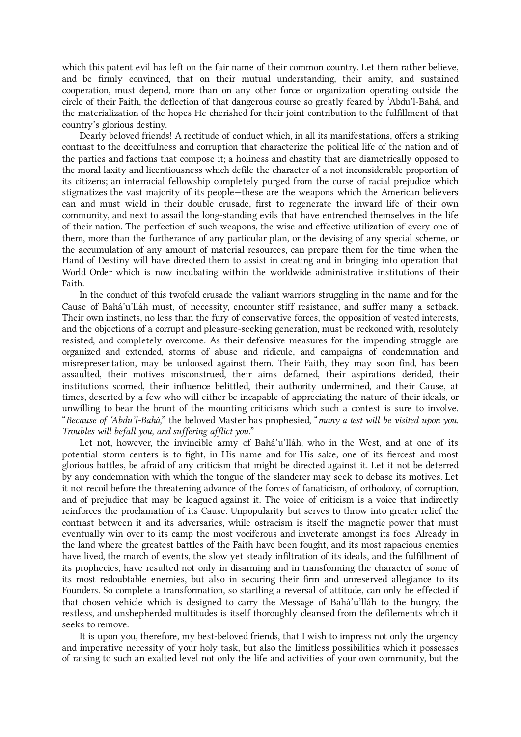which this patent evil has left on the fair name of their common country. Let them rather believe, and be firmly convinced, that on their mutual understanding, their amity, and sustained cooperation, must depend, more than on any other force or organization operating outside the circle of their Faith, the deflection of that dangerous course so greatly feared by 'Abdu'l-Bahá, and the materialization of the hopes He cherished for their joint contribution to the fulfillment of that country's glorious destiny.

<span id="page-19-0"></span>Dearly beloved friends! A rectitude of conduct which, in all its manifestations, offers a striking contrast to the deceitfulness and corruption that characterize the political life of the nation and of the parties and factions that compose it; a holiness and chastity that are diametrically opposed to the moral laxity and licentiousness which defile the character of a not inconsiderable proportion of its citizens; an interracial fellowship completely purged from the curse of racial prejudice which stigmatizes the vast majority of its people—these are the weapons which the American believers can and must wield in their double crusade, first to regenerate the inward life of their own community, and next to assail the long-standing evils that have entrenched themselves in the life of their nation. The perfection of such weapons, the wise and effective utilization of every one of them, more than the furtherance of any particular plan, or the devising of any special scheme, or the accumulation of any amount of material resources, can prepare them for the time when the Hand of Destiny will have directed them to assist in creating and in bringing into operation that World Order which is now incubating within the worldwide administrative institutions of their Faith.

In the conduct of this twofold crusade the valiant warriors struggling in the name and for the Cause of Bahá'u'lláh must, of necessity, encounter stiff resistance, and suffer many a setback. Their own instincts, no less than the fury of conservative forces, the opposition of vested interests, and the objections of a corrupt and pleasure-seeking generation, must be reckoned with, resolutely resisted, and completely overcome. As their defensive measures for the impending struggle are organized and extended, storms of abuse and ridicule, and campaigns of condemnation and misrepresentation, may be unloosed against them. Their Faith, they may soon find, has been assaulted, their motives misconstrued, their aims defamed, their aspirations derided, their institutions scorned, their influence belittled, their authority undermined, and their Cause, at times, deserted by a few who will either be incapable of appreciating the nature of their ideals, or unwilling to bear the brunt of the mounting criticisms which such a contest is sure to involve. "Because of 'Abdu'l‑Bahá," the beloved Master has prophesied, "many a test will be visited upon you. Troubles will befall you, and suffering afflict you."

Let not, however, the invincible army of Bahá'u'lláh, who in the West, and at one of its potential storm centers is to fight, in His name and for His sake, one of its fiercest and most glorious battles, be afraid of any criticism that might be directed against it. Let it not be deterred by any condemnation with which the tongue of the slanderer may seek to debase its motives. Let it not recoil before the threatening advance of the forces of fanaticism, of orthodoxy, of corruption, and of prejudice that may be leagued against it. The voice of criticism is a voice that indirectly reinforces the proclamation of its Cause. Unpopularity but serves to throw into greater relief the contrast between it and its adversaries, while ostracism is itself the magnetic power that must eventually win over to its camp the most vociferous and inveterate amongst its foes. Already in the land where the greatest battles of the Faith have been fought, and its most rapacious enemies have lived, the march of events, the slow yet steady infiltration of its ideals, and the fulfillment of its prophecies, have resulted not only in disarming and in transforming the character of some of its most redoubtable enemies, but also in securing their firm and unreserved allegiance to its Founders. So complete a transformation, so startling a reversal of attitude, can only be effected if that chosen vehicle which is designed to carry the Message of Bahá'u'lláh to the hungry, the restless, and unshepherded multitudes is itself thoroughly cleansed from the defilements which it seeks to remove.

It is upon you, therefore, my best-beloved friends, that I wish to impress not only the urgency and imperative necessity of your holy task, but also the limitless possibilities which it possesses of raising to such an exalted level not only the life and activities of your own community, but the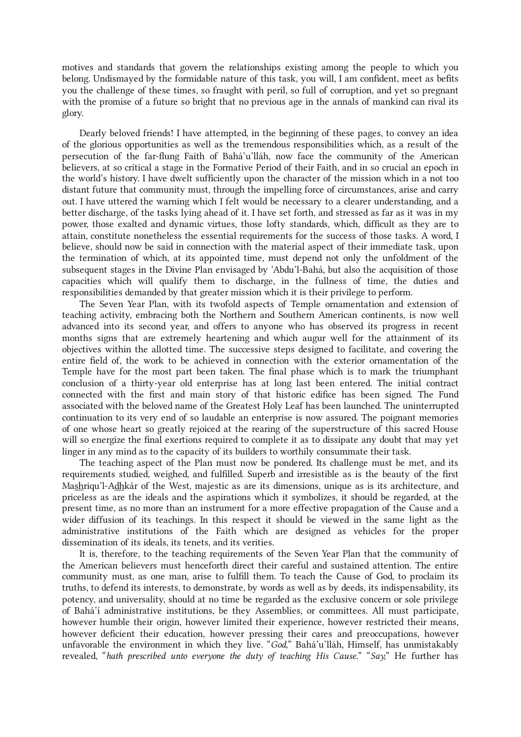motives and standards that govern the relationships existing among the people to which you belong. Undismayed by the formidable nature of this task, you will, I am confident, meet as befits you the challenge of these times, so fraught with peril, so full of corruption, and yet so pregnant with the promise of a future so bright that no previous age in the annals of mankind can rival its glory.

<span id="page-20-0"></span>Dearly beloved friends! I have attempted, in the beginning of these pages, to convey an idea of the glorious opportunities as well as the tremendous responsibilities which, as a result of the persecution of the far-flung Faith of Bahá'u'lláh, now face the community of the American believers, at so critical a stage in the Formative Period of their Faith, and in so crucial an epoch in the world's history. I have dwelt sufficiently upon the character of the mission which in a not too distant future that community must, through the impelling force of circumstances, arise and carry out. I have uttered the warning which I felt would be necessary to a clearer understanding, and a better discharge, of the tasks lying ahead of it. I have set forth, and stressed as far as it was in my power, those exalted and dynamic virtues, those lofty standards, which, difficult as they are to attain, constitute nonetheless the essential requirements for the success of those tasks. A word, I believe, should now be said in connection with the material aspect of their immediate task, upon the termination of which, at its appointed time, must depend not only the unfoldment of the subsequent stages in the Divine Plan envisaged by 'Abdu'l-Bahá, but also the acquisition of those capacities which will qualify them to discharge, in the fullness of time, the duties and responsibilities demanded by that greater mission which it is their privilege to perform.

<span id="page-20-1"></span>The Seven Year Plan, with its twofold aspects of Temple ornamentation and extension of teaching activity, embracing both the Northern and Southern American continents, is now well advanced into its second year, and offers to anyone who has observed its progress in recent months signs that are extremely heartening and which augur well for the attainment of its objectives within the allotted time. The successive steps designed to facilitate, and covering the entire field of, the work to be achieved in connection with the exterior ornamentation of the Temple have for the most part been taken. The final phase which is to mark the triumphant conclusion of a thirty-year old enterprise has at long last been entered. The initial contract connected with the first and main story of that historic edifice has been signed. The Fund associated with the beloved name of the Greatest Holy Leaf has been launched. The uninterrupted continuation to its very end of so laudable an enterprise is now assured. The poignant memories of one whose heart so greatly rejoiced at the rearing of the superstructure of this sacred House will so energize the final exertions required to complete it as to dissipate any doubt that may yet linger in any mind as to the capacity of its builders to worthily consummate their task.

<span id="page-20-2"></span>The teaching aspect of the Plan must now be pondered. Its challenge must be met, and its requirements studied, weighed, and fulfilled. Superb and irresistible as is the beauty of the first Mashriqu'l-Adhkár of the West, majestic as are its dimensions, unique as is its architecture, and priceless as are the ideals and the aspirations which it symbolizes, it should be regarded, at the present time, as no more than an instrument for a more effective propagation of the Cause and a wider diffusion of its teachings. In this respect it should be viewed in the same light as the administrative institutions of the Faith which are designed as vehicles for the proper dissemination of its ideals, its tenets, and its verities.

<span id="page-20-3"></span>It is, therefore, to the teaching requirements of the Seven Year Plan that the community of the American believers must henceforth direct their careful and sustained attention. The entire community must, as one man, arise to fulfill them. To teach the Cause of God, to proclaim its truths, to defend its interests, to demonstrate, by words as well as by deeds, its indispensability, its potency, and universality, should at no time be regarded as the exclusive concern or sole privilege of Bahá'í administrative institutions, be they Assemblies, or committees. All must participate, however humble their origin, however limited their experience, however restricted their means, however deficient their education, however pressing their cares and preoccupations, however unfavorable the environment in which they live. "God," Bahá'u'lláh, Himself, has unmistakably revealed, "hath prescribed unto everyone the duty of teaching His Cause." "Say," He further has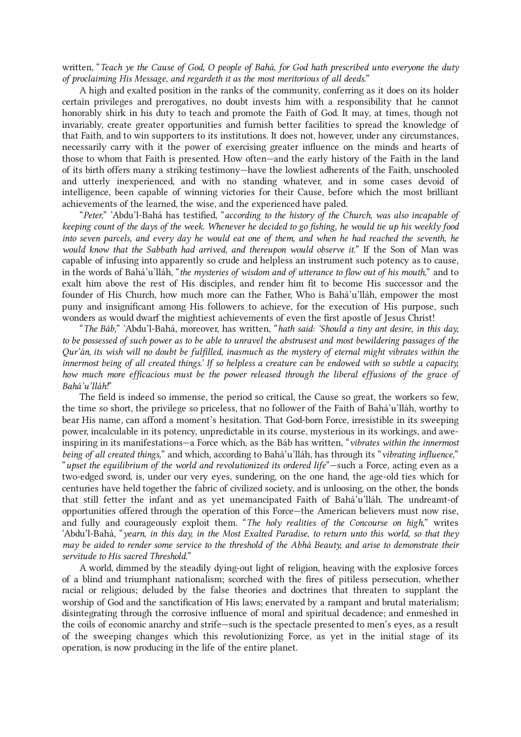written, "Teach ye the Cause of God, O people of Bahá, for God hath prescribed unto everyone the duty of proclaiming His Message, and regardeth it as the most meritorious of all deeds."

A high and exalted position in the ranks of the community, conferring as it does on its holder certain privileges and prerogatives, no doubt invests him with a responsibility that he cannot honorably shirk in his duty to teach and promote the Faith of God. It may, at times, though not invariably, create greater opportunities and furnish better facilities to spread the knowledge of that Faith, and to win supporters to its institutions. It does not, however, under any circumstances, necessarily carry with it the power of exercising greater influence on the minds and hearts of those to whom that Faith is presented. How often—and the early history of the Faith in the land of its birth offers many a striking testimony—have the lowliest adherents of the Faith, unschooled and utterly inexperienced, and with no standing whatever, and in some cases devoid of intelligence, been capable of winning victories for their Cause, before which the most brilliant achievements of the learned, the wise, and the experienced have paled.

"Peter," 'Abdu'l‑Bahá has testified, "according to the history of the Church, was also incapable of keeping count of the days of the week. Whenever he decided to go fishing, he would tie up his weekly food into seven parcels, and every day he would eat one of them, and when he had reached the seventh, he would know that the Sabbath had arrived, and thereupon would observe it." If the Son of Man was capable of infusing into apparently so crude and helpless an instrument such potency as to cause, in the words of Bahá'u'lláh, "the mysteries of wisdom and of utterance to flow out of his mouth," and to exalt him above the rest of His disciples, and render him fit to become His successor and the founder of His Church, how much more can the Father, Who is Bahá'u'lláh, empower the most puny and insignificant among His followers to achieve, for the execution of His purpose, such wonders as would dwarf the mightiest achievements of even the first apostle of Jesus Christ!

"The Báb," 'Abdu'l-Bahá, moreover, has written, "hath said: 'Should a tiny ant desire, in this day, to be possessed of such power as to be able to unravel the abstrusest and most bewildering passages of the Qur'án, its wish will no doubt be fulfilled, inasmuch as the mystery of eternal might vibrates within the innermost being of all created things.' If so helpless a creature can be endowed with so subtle a capacity, how much more efficacious must be the power released through the liberal effusions of the grace of Bahá'u'lláh!"

<span id="page-21-0"></span>The field is indeed so immense, the period so critical, the Cause so great, the workers so few, the time so short, the privilege so priceless, that no follower of the Faith of Bahá'u'lláh, worthy to bear His name, can afford a moment's hesitation. That God-born Force, irresistible in its sweeping power, incalculable in its potency, unpredictable in its course, mysterious in its workings, and aweinspiring in its manifestations—a Force which, as the Báb has written, "vibrates within the innermost being of all created things," and which, according to Bahá'u'lláh, has through its "vibrating influence," "upset the equilibrium of the world and revolutionized its ordered life"—such a Force, acting even as a two-edged sword, is, under our very eyes, sundering, on the one hand, the age-old ties which for centuries have held together the fabric of civilized society, and is unloosing, on the other, the bonds that still fetter the infant and as yet unemancipated Faith of Bahá'u'lláh. The undreamt-of opportunities offered through the operation of this Force—the American believers must now rise, and fully and courageously exploit them. "The holy realities of the Concourse on high," writes 'Abdu'l‑Bahá, "yearn, in this day, in the Most Exalted Paradise, to return unto this world, so that they may be aided to render some service to the threshold of the Abhá Beauty, and arise to demonstrate their servitude to His sacred Threshold."

A world, dimmed by the steadily dying-out light of religion, heaving with the explosive forces of a blind and triumphant nationalism; scorched with the fires of pitiless persecution, whether racial or religious; deluded by the false theories and doctrines that threaten to supplant the worship of God and the sanctification of His laws; enervated by a rampant and brutal materialism; disintegrating through the corrosive influence of moral and spiritual decadence; and enmeshed in the coils of economic anarchy and strife—such is the spectacle presented to men's eyes, as a result of the sweeping changes which this revolutionizing Force, as yet in the initial stage of its operation, is now producing in the life of the entire planet.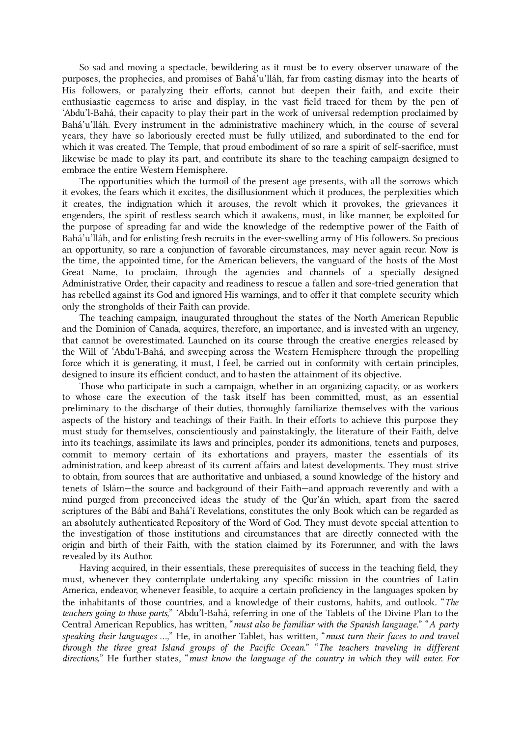So sad and moving a spectacle, bewildering as it must be to every observer unaware of the purposes, the prophecies, and promises of Bahá'u'lláh, far from casting dismay into the hearts of His followers, or paralyzing their efforts, cannot but deepen their faith, and excite their enthusiastic eagerness to arise and display, in the vast field traced for them by the pen of 'Abdu'l‑Bahá, their capacity to play their part in the work of universal redemption proclaimed by Bahá'u'lláh. Every instrument in the administrative machinery which, in the course of several years, they have so laboriously erected must be fully utilized, and subordinated to the end for which it was created. The Temple, that proud embodiment of so rare a spirit of self-sacrifice, must likewise be made to play its part, and contribute its share to the teaching campaign designed to embrace the entire Western Hemisphere.

The opportunities which the turmoil of the present age presents, with all the sorrows which it evokes, the fears which it excites, the disillusionment which it produces, the perplexities which it creates, the indignation which it arouses, the revolt which it provokes, the grievances it engenders, the spirit of restless search which it awakens, must, in like manner, be exploited for the purpose of spreading far and wide the knowledge of the redemptive power of the Faith of Bahá'u'lláh, and for enlisting fresh recruits in the ever-swelling army of His followers. So precious an opportunity, so rare a conjunction of favorable circumstances, may never again recur. Now is the time, the appointed time, for the American believers, the vanguard of the hosts of the Most Great Name, to proclaim, through the agencies and channels of a specially designed Administrative Order, their capacity and readiness to rescue a fallen and sore-tried generation that has rebelled against its God and ignored His warnings, and to offer it that complete security which only the strongholds of their Faith can provide.

The teaching campaign, inaugurated throughout the states of the North American Republic and the Dominion of Canada, acquires, therefore, an importance, and is invested with an urgency, that cannot be overestimated. Launched on its course through the creative energies released by the Will of 'Abdu'l‑Bahá, and sweeping across the Western Hemisphere through the propelling force which it is generating, it must, I feel, be carried out in conformity with certain principles, designed to insure its efficient conduct, and to hasten the attainment of its objective.

<span id="page-22-0"></span>Those who participate in such a campaign, whether in an organizing capacity, or as workers to whose care the execution of the task itself has been committed, must, as an essential preliminary to the discharge of their duties, thoroughly familiarize themselves with the various aspects of the history and teachings of their Faith. In their efforts to achieve this purpose they must study for themselves, conscientiously and painstakingly, the literature of their Faith, delve into its teachings, assimilate its laws and principles, ponder its admonitions, tenets and purposes, commit to memory certain of its exhortations and prayers, master the essentials of its administration, and keep abreast of its current affairs and latest developments. They must strive to obtain, from sources that are authoritative and unbiased, a sound knowledge of the history and tenets of Islám—the source and background of their Faith—and approach reverently and with a mind purged from preconceived ideas the study of the Qur'án which, apart from the sacred scriptures of the Bábí and Bahá'í Revelations, constitutes the only Book which can be regarded as an absolutely authenticated Repository of the Word of God. They must devote special attention to the investigation of those institutions and circumstances that are directly connected with the origin and birth of their Faith, with the station claimed by its Forerunner, and with the laws revealed by its Author.

<span id="page-22-1"></span>Having acquired, in their essentials, these prerequisites of success in the teaching field, they must, whenever they contemplate undertaking any specific mission in the countries of Latin America, endeavor, whenever feasible, to acquire a certain proficiency in the languages spoken by the inhabitants of those countries, and a knowledge of their customs, habits, and outlook. "The teachers going to those parts," 'Abdu'l-Bahá, referring in one of the Tablets of the Divine Plan to the Central American Republics, has written, "must also be familiar with the Spanish language." "A party speaking their languages …," He, in another Tablet, has written, "must turn their faces to and travel through the three great Island groups of the Pacific Ocean." "The teachers traveling in different directions," He further states, "must know the language of the country in which they will enter. For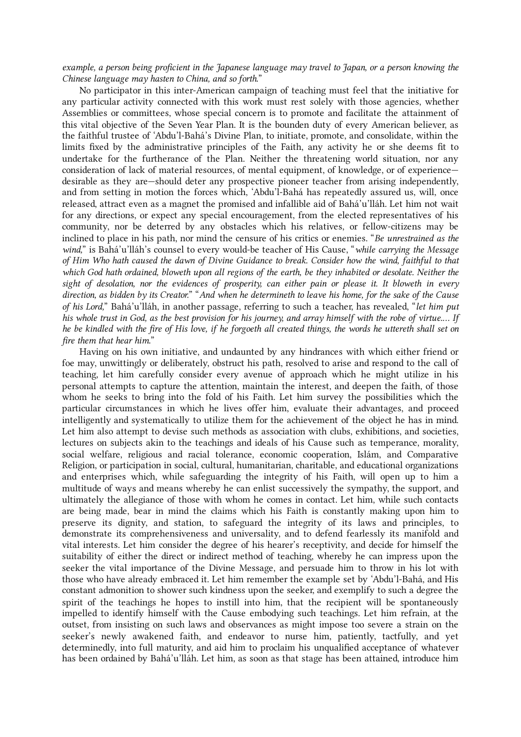## example, a person being proficient in the Japanese language may travel to Japan, or a person knowing the Chinese language may hasten to China, and so forth."

<span id="page-23-0"></span>No participator in this inter-American campaign of teaching must feel that the initiative for any particular activity connected with this work must rest solely with those agencies, whether Assemblies or committees, whose special concern is to promote and facilitate the attainment of this vital objective of the Seven Year Plan. It is the bounden duty of every American believer, as the faithful trustee of 'Abdu'l‑Bahá's Divine Plan, to initiate, promote, and consolidate, within the limits fixed by the administrative principles of the Faith, any activity he or she deems fit to undertake for the furtherance of the Plan. Neither the threatening world situation, nor any consideration of lack of material resources, of mental equipment, of knowledge, or of experience desirable as they are—should deter any prospective pioneer teacher from arising independently, and from setting in motion the forces which, 'Abdu'l-Bahá has repeatedly assured us, will, once released, attract even as a magnet the promised and infallible aid of Bahá'u'lláh. Let him not wait for any directions, or expect any special encouragement, from the elected representatives of his community, nor be deterred by any obstacles which his relatives, or fellow-citizens may be inclined to place in his path, nor mind the censure of his critics or enemies. "Be unrestrained as the wind," is Bahá'u'lláh's counsel to every would-be teacher of His Cause, "while carrying the Message of Him Who hath caused the dawn of Divine Guidance to break. Consider how the wind, faithful to that which God hath ordained, bloweth upon all regions of the earth, be they inhabited or desolate. Neither the sight of desolation, nor the evidences of prosperity, can either pain or please it. It bloweth in every direction, as bidden by its Creator." "And when he determineth to leave his home, for the sake of the Cause of his Lord," Bahá'u'lláh, in another passage, referring to such a teacher, has revealed, "let him put his whole trust in God, as the best provision for his journey, and array himself with the robe of virtue.… If he be kindled with the fire of His love, if he forgoeth all created things, the words he uttereth shall set on fire them that hear him."

<span id="page-23-1"></span>Having on his own initiative, and undaunted by any hindrances with which either friend or foe may, unwittingly or deliberately, obstruct his path, resolved to arise and respond to the call of teaching, let him carefully consider every avenue of approach which he might utilize in his personal attempts to capture the attention, maintain the interest, and deepen the faith, of those whom he seeks to bring into the fold of his Faith. Let him survey the possibilities which the particular circumstances in which he lives offer him, evaluate their advantages, and proceed intelligently and systematically to utilize them for the achievement of the object he has in mind. Let him also attempt to devise such methods as association with clubs, exhibitions, and societies, lectures on subjects akin to the teachings and ideals of his Cause such as temperance, morality, social welfare, religious and racial tolerance, economic cooperation, Islám, and Comparative Religion, or participation in social, cultural, humanitarian, charitable, and educational organizations and enterprises which, while safeguarding the integrity of his Faith, will open up to him a multitude of ways and means whereby he can enlist successively the sympathy, the support, and ultimately the allegiance of those with whom he comes in contact. Let him, while such contacts are being made, bear in mind the claims which his Faith is constantly making upon him to preserve its dignity, and station, to safeguard the integrity of its laws and principles, to demonstrate its comprehensiveness and universality, and to defend fearlessly its manifold and vital interests. Let him consider the degree of his hearer's receptivity, and decide for himself the suitability of either the direct or indirect method of teaching, whereby he can impress upon the seeker the vital importance of the Divine Message, and persuade him to throw in his lot with those who have already embraced it. Let him remember the example set by 'Abdu'l-Bahá, and His constant admonition to shower such kindness upon the seeker, and exemplify to such a degree the spirit of the teachings he hopes to instill into him, that the recipient will be spontaneously impelled to identify himself with the Cause embodying such teachings. Let him refrain, at the outset, from insisting on such laws and observances as might impose too severe a strain on the seeker's newly awakened faith, and endeavor to nurse him, patiently, tactfully, and yet determinedly, into full maturity, and aid him to proclaim his unqualified acceptance of whatever has been ordained by Bahá'u'lláh. Let him, as soon as that stage has been attained, introduce him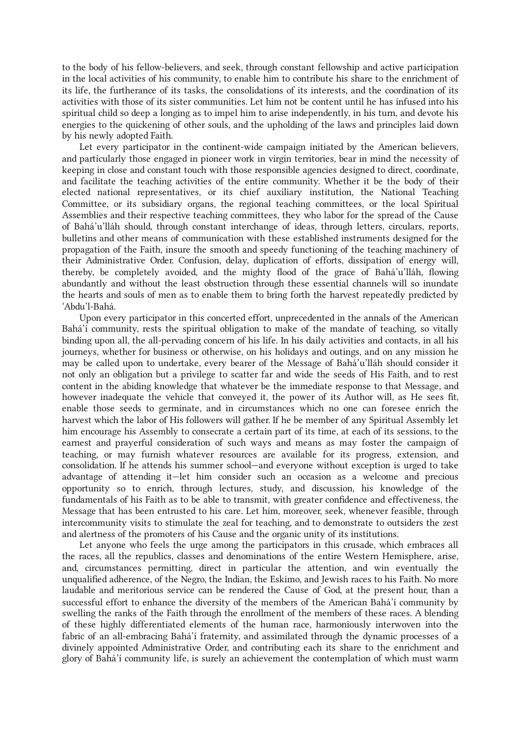to the body of his fellow-believers, and seek, through constant fellowship and active participation in the local activities of his community, to enable him to contribute his share to the enrichment of its life, the furtherance of its tasks, the consolidations of its interests, and the coordination of its activities with those of its sister communities. Let him not be content until he has infused into his spiritual child so deep a longing as to impel him to arise independently, in his turn, and devote his energies to the quickening of other souls, and the upholding of the laws and principles laid down by his newly adopted Faith.

<span id="page-24-0"></span>Let every participator in the continent-wide campaign initiated by the American believers, and particularly those engaged in pioneer work in virgin territories, bear in mind the necessity of keeping in close and constant touch with those responsible agencies designed to direct, coordinate, and facilitate the teaching activities of the entire community. Whether it be the body of their elected national representatives, or its chief auxiliary institution, the National Teaching Committee, or its subsidiary organs, the regional teaching committees, or the local Spiritual Assemblies and their respective teaching committees, they who labor for the spread of the Cause of Bahá'u'lláh should, through constant interchange of ideas, through letters, circulars, reports, bulletins and other means of communication with these established instruments designed for the propagation of the Faith, insure the smooth and speedy functioning of the teaching machinery of their Administrative Order. Confusion, delay, duplication of efforts, dissipation of energy will, thereby, be completely avoided, and the mighty flood of the grace of Bahá'u'lláh, flowing abundantly and without the least obstruction through these essential channels will so inundate the hearts and souls of men as to enable them to bring forth the harvest repeatedly predicted by 'Abdu'l‑Bahá.

<span id="page-24-1"></span>Upon every participator in this concerted effort, unprecedented in the annals of the American Bahá'í community, rests the spiritual obligation to make of the mandate of teaching, so vitally binding upon all, the all-pervading concern of his life. In his daily activities and contacts, in all his journeys, whether for business or otherwise, on his holidays and outings, and on any mission he may be called upon to undertake, every bearer of the Message of Bahá'u'lláh should consider it not only an obligation but a privilege to scatter far and wide the seeds of His Faith, and to rest content in the abiding knowledge that whatever be the immediate response to that Message, and however inadequate the vehicle that conveyed it, the power of its Author will, as He sees fit, enable those seeds to germinate, and in circumstances which no one can foresee enrich the harvest which the labor of His followers will gather. If he be member of any Spiritual Assembly let him encourage his Assembly to consecrate a certain part of its time, at each of its sessions, to the earnest and prayerful consideration of such ways and means as may foster the campaign of teaching, or may furnish whatever resources are available for its progress, extension, and consolidation. If he attends his summer school—and everyone without exception is urged to take advantage of attending it—let him consider such an occasion as a welcome and precious opportunity so to enrich, through lectures, study, and discussion, his knowledge of the fundamentals of his Faith as to be able to transmit, with greater confidence and effectiveness, the Message that has been entrusted to his care. Let him, moreover, seek, whenever feasible, through intercommunity visits to stimulate the zeal for teaching, and to demonstrate to outsiders the zest and alertness of the promoters of his Cause and the organic unity of its institutions.

<span id="page-24-2"></span>Let anyone who feels the urge among the participators in this crusade, which embraces all the races, all the republics, classes and denominations of the entire Western Hemisphere, arise, and, circumstances permitting, direct in particular the attention, and win eventually the unqualified adherence, of the Negro, the Indian, the Eskimo, and Jewish races to his Faith. No more laudable and meritorious service can be rendered the Cause of God, at the present hour, than a successful effort to enhance the diversity of the members of the American Bahá'í community by swelling the ranks of the Faith through the enrollment of the members of these races. A blending of these highly differentiated elements of the human race, harmoniously interwoven into the fabric of an all-embracing Bahá'í fraternity, and assimilated through the dynamic processes of a divinely appointed Administrative Order, and contributing each its share to the enrichment and glory of Bahá'í community life, is surely an achievement the contemplation of which must warm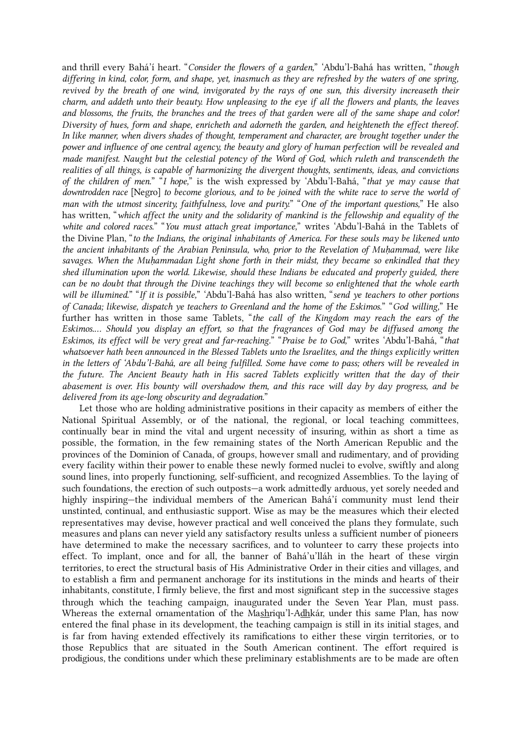and thrill every Bahá'í heart. "Consider the flowers of a garden," 'Abdu'l-Bahá has written, "though differing in kind, color, form, and shape, yet, inasmuch as they are refreshed by the waters of one spring, revived by the breath of one wind, invigorated by the rays of one sun, this diversity increaseth their charm, and addeth unto their beauty. How unpleasing to the eye if all the flowers and plants, the leaves and blossoms, the fruits, the branches and the trees of that garden were all of the same shape and color! Diversity of hues, form and shape, enricheth and adorneth the garden, and heighteneth the effect thereof. In like manner, when divers shades of thought, temperament and character, are brought together under the power and influence of one central agency, the beauty and glory of human perfection will be revealed and made manifest. Naught but the celestial potency of the Word of God, which ruleth and transcendeth the realities of all things, is capable of harmonizing the divergent thoughts, sentiments, ideas, and convictions of the children of men." "I hope," is the wish expressed by 'Abdu'l-Bahá, "that ye may cause that downtrodden race [Negro] to become glorious, and to be joined with the white race to serve the world of man with the utmost sincerity, faithfulness, love and purity." "One of the important questions," He also has written, "which affect the unity and the solidarity of mankind is the fellowship and equality of the white and colored races." "You must attach great importance," writes 'Abdu'l-Bahá in the Tablets of the Divine Plan, "to the Indians, the original inhabitants of America. For these souls may be likened unto the ancient inhabitants of the Arabian Peninsula, who, prior to the Revelation of Muḥammad, were like savages. When the Muhammadan Light shone forth in their midst, they became so enkindled that they shed illumination upon the world. Likewise, should these Indians be educated and properly guided, there can be no doubt that through the Divine teachings they will become so enlightened that the whole earth will be illumined." "If it is possible," 'Abdu'l-Bahá has also written, "send ye teachers to other portions of Canada; likewise, dispatch ye teachers to Greenland and the home of the Eskimos." "God willing," He further has written in those same Tablets, "the call of the Kingdom may reach the ears of the Eskimos.… Should you display an effort, so that the fragrances of God may be diffused among the Eskimos, its effect will be very great and far-reaching." "Praise be to God," writes 'Abdu'l‑Bahá, "that whatsoever hath been announced in the Blessed Tablets unto the Israelites, and the things explicitly written in the letters of 'Abdu'l-Bahá, are all being fulfilled. Some have come to pass; others will be revealed in the future. The Ancient Beauty hath in His sacred Tablets explicitly written that the day of their abasement is over. His bounty will overshadow them, and this race will day by day progress, and be delivered from its age-long obscurity and degradation."

<span id="page-25-0"></span>Let those who are holding administrative positions in their capacity as members of either the National Spiritual Assembly, or of the national, the regional, or local teaching committees, continually bear in mind the vital and urgent necessity of insuring, within as short a time as possible, the formation, in the few remaining states of the North American Republic and the provinces of the Dominion of Canada, of groups, however small and rudimentary, and of providing every facility within their power to enable these newly formed nuclei to evolve, swiftly and along sound lines, into properly functioning, self-sufficient, and recognized Assemblies. To the laying of such foundations, the erection of such outposts—a work admittedly arduous, yet sorely needed and highly inspiring—the individual members of the American Bahá'í community must lend their unstinted, continual, and enthusiastic support. Wise as may be the measures which their elected representatives may devise, however practical and well conceived the plans they formulate, such measures and plans can never yield any satisfactory results unless a sufficient number of pioneers have determined to make the necessary sacrifices, and to volunteer to carry these projects into effect. To implant, once and for all, the banner of Bahá'u'lláh in the heart of these virgin territories, to erect the structural basis of His Administrative Order in their cities and villages, and to establish a firm and permanent anchorage for its institutions in the minds and hearts of their inhabitants, constitute, I firmly believe, the first and most significant step in the successive stages through which the teaching campaign, inaugurated under the Seven Year Plan, must pass. Whereas the external ornamentation of the Mashriqu'l-Adhkár, under this same Plan, has now entered the final phase in its development, the teaching campaign is still in its initial stages, and is far from having extended effectively its ramifications to either these virgin territories, or to those Republics that are situated in the South American continent. The effort required is prodigious, the conditions under which these preliminary establishments are to be made are often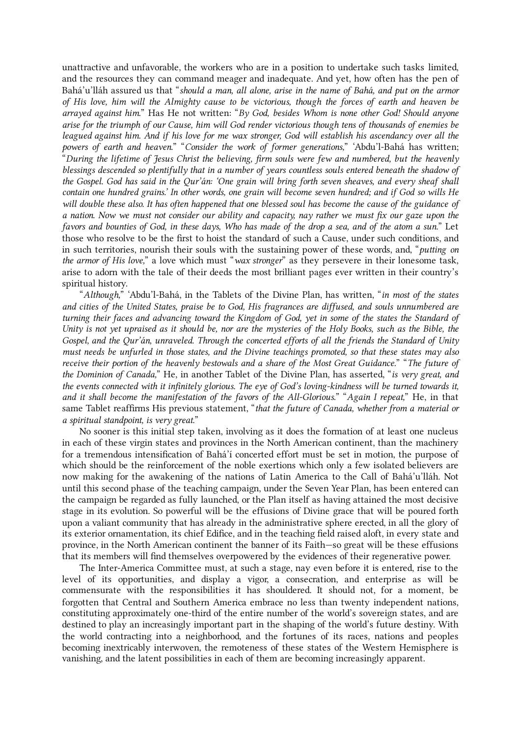unattractive and unfavorable, the workers who are in a position to undertake such tasks limited, and the resources they can command meager and inadequate. And yet, how often has the pen of Bahá'u'lláh assured us that "should a man, all alone, arise in the name of Bahá, and put on the armor of His love, him will the Almighty cause to be victorious, though the forces of earth and heaven be arrayed against him." Has He not written: "By God, besides Whom is none other God! Should anyone arise for the triumph of our Cause, him will God render victorious though tens of thousands of enemies be leagued against him. And if his love for me wax stronger, God will establish his ascendancy over all the powers of earth and heaven." "Consider the work of former generations," 'Abdu'l-Bahá has written; "During the lifetime of Jesus Christ the believing, firm souls were few and numbered, but the heavenly blessings descended so plentifully that in a number of years countless souls entered beneath the shadow of the Gospel. God has said in the Qur'án: 'One grain will bring forth seven sheaves, and every sheaf shall contain one hundred grains.' In other words, one grain will become seven hundred; and if God so wills He will double these also. It has often happened that one blessed soul has become the cause of the guidance of a nation. Now we must not consider our ability and capacity, nay rather we must fix our gaze upon the favors and bounties of God, in these days, Who has made of the drop a sea, and of the atom a sun." Let those who resolve to be the first to hoist the standard of such a Cause, under such conditions, and in such territories, nourish their souls with the sustaining power of these words, and, "putting on the armor of His love," a love which must "wax stronger" as they persevere in their lonesome task, arise to adorn with the tale of their deeds the most brilliant pages ever written in their country's spiritual history.

"Although," 'Abdu'l-Bahá, in the Tablets of the Divine Plan, has written, "in most of the states and cities of the United States, praise be to God, His fragrances are diffused, and souls unnumbered are turning their faces and advancing toward the Kingdom of God, yet in some of the states the Standard of Unity is not yet upraised as it should be, nor are the mysteries of the Holy Books, such as the Bible, the Gospel, and the Qur'án, unraveled. Through the concerted efforts of all the friends the Standard of Unity must needs be unfurled in those states, and the Divine teachings promoted, so that these states may also receive their portion of the heavenly bestowals and a share of the Most Great Guidance." "The future of the Dominion of Canada," He, in another Tablet of the Divine Plan, has asserted, "is very great, and the events connected with it infinitely glorious. The eye of God's loving-kindness will be turned towards it, and it shall become the manifestation of the favors of the All-Glorious." "Again I repeat," He, in that same Tablet reaffirms His previous statement, "that the future of Canada, whether from a material or a spiritual standpoint, is very great."

<span id="page-26-0"></span>No sooner is this initial step taken, involving as it does the formation of at least one nucleus in each of these virgin states and provinces in the North American continent, than the machinery for a tremendous intensification of Bahá'í concerted effort must be set in motion, the purpose of which should be the reinforcement of the noble exertions which only a few isolated believers are now making for the awakening of the nations of Latin America to the Call of Bahá'u'lláh. Not until this second phase of the teaching campaign, under the Seven Year Plan, has been entered can the campaign be regarded as fully launched, or the Plan itself as having attained the most decisive stage in its evolution. So powerful will be the effusions of Divine grace that will be poured forth upon a valiant community that has already in the administrative sphere erected, in all the glory of its exterior ornamentation, its chief Edifice, and in the teaching field raised aloft, in every state and province, in the North American continent the banner of its Faith—so great will be these effusions that its members will find themselves overpowered by the evidences of their regenerative power.

<span id="page-26-1"></span>The Inter-America Committee must, at such a stage, nay even before it is entered, rise to the level of its opportunities, and display a vigor, a consecration, and enterprise as will be commensurate with the responsibilities it has shouldered. It should not, for a moment, be forgotten that Central and Southern America embrace no less than twenty independent nations, constituting approximately one-third of the entire number of the world's sovereign states, and are destined to play an increasingly important part in the shaping of the world's future destiny. With the world contracting into a neighborhood, and the fortunes of its races, nations and peoples becoming inextricably interwoven, the remoteness of these states of the Western Hemisphere is vanishing, and the latent possibilities in each of them are becoming increasingly apparent.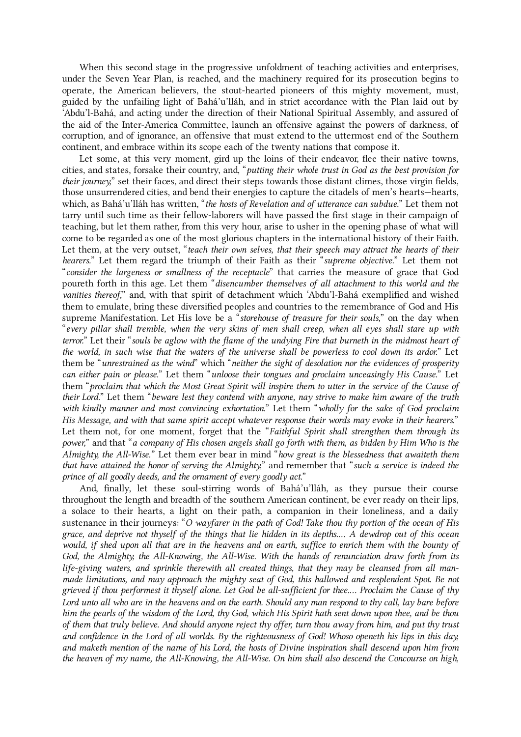When this second stage in the progressive unfoldment of teaching activities and enterprises, under the Seven Year Plan, is reached, and the machinery required for its prosecution begins to operate, the American believers, the stout-hearted pioneers of this mighty movement, must, guided by the unfailing light of Bahá'u'lláh, and in strict accordance with the Plan laid out by 'Abdu'l‑Bahá, and acting under the direction of their National Spiritual Assembly, and assured of the aid of the Inter-America Committee, launch an offensive against the powers of darkness, of corruption, and of ignorance, an offensive that must extend to the uttermost end of the Southern continent, and embrace within its scope each of the twenty nations that compose it.

<span id="page-27-0"></span>Let some, at this very moment, gird up the loins of their endeavor, flee their native towns, cities, and states, forsake their country, and, "putting their whole trust in God as the best provision for their journey," set their faces, and direct their steps towards those distant climes, those virgin fields, those unsurrendered cities, and bend their energies to capture the citadels of men's hearts—hearts, which, as Bahá'u'lláh has written, "the hosts of Revelation and of utterance can subdue." Let them not tarry until such time as their fellow-laborers will have passed the first stage in their campaign of teaching, but let them rather, from this very hour, arise to usher in the opening phase of what will come to be regarded as one of the most glorious chapters in the international history of their Faith. Let them, at the very outset, "teach their own selves, that their speech may attract the hearts of their hearers." Let them regard the triumph of their Faith as their "supreme objective." Let them not "consider the largeness or smallness of the receptacle" that carries the measure of grace that God poureth forth in this age. Let them "disencumber themselves of all attachment to this world and the vanities thereof," and, with that spirit of detachment which 'Abdu'l-Bahá exemplified and wished them to emulate, bring these diversified peoples and countries to the remembrance of God and His supreme Manifestation. Let His love be a "storehouse of treasure for their souls," on the day when "every pillar shall tremble, when the very skins of men shall creep, when all eyes shall stare up with terror." Let their "souls be aglow with the flame of the undying Fire that burneth in the midmost heart of the world, in such wise that the waters of the universe shall be powerless to cool down its ardor." Let them be "unrestrained as the wind" which "neither the sight of desolation nor the evidences of prosperity can either pain or please." Let them "unloose their tongues and proclaim unceasingly His Cause." Let them "proclaim that which the Most Great Spirit will inspire them to utter in the service of the Cause of their Lord." Let them "beware lest they contend with anyone, nay strive to make him aware of the truth with kindly manner and most convincing exhortation." Let them "wholly for the sake of God proclaim His Message, and with that same spirit accept whatever response their words may evoke in their hearers." Let them not, for one moment, forget that the "Faithful Spirit shall strengthen them through its power," and that "a company of His chosen angels shall go forth with them, as bidden by Him Who is the Almighty, the All-Wise." Let them ever bear in mind "how great is the blessedness that awaiteth them that have attained the honor of serving the Almighty," and remember that "such a service is indeed the prince of all goodly deeds, and the ornament of every goodly act."

<span id="page-27-1"></span>And, finally, let these soul-stirring words of Bahá'u'lláh, as they pursue their course throughout the length and breadth of the southern American continent, be ever ready on their lips, a solace to their hearts, a light on their path, a companion in their loneliness, and a daily sustenance in their journeys: "O wayfarer in the path of God! Take thou thy portion of the ocean of His grace, and deprive not thyself of the things that lie hidden in its depths.… A dewdrop out of this ocean would, if shed upon all that are in the heavens and on earth, suffice to enrich them with the bounty of God, the Almighty, the All-Knowing, the All-Wise. With the hands of renunciation draw forth from its life-giving waters, and sprinkle therewith all created things, that they may be cleansed from all manmade limitations, and may approach the mighty seat of God, this hallowed and resplendent Spot. Be not grieved if thou performest it thyself alone. Let God be all-sufficient for thee.… Proclaim the Cause of thy Lord unto all who are in the heavens and on the earth. Should any man respond to thy call, lay bare before him the pearls of the wisdom of the Lord, thy God, which His Spirit hath sent down upon thee, and be thou of them that truly believe. And should anyone reject thy offer, turn thou away from him, and put thy trust and confidence in the Lord of all worlds. By the righteousness of God! Whoso openeth his lips in this day, and maketh mention of the name of his Lord, the hosts of Divine inspiration shall descend upon him from the heaven of my name, the All-Knowing, the All-Wise. On him shall also descend the Concourse on high,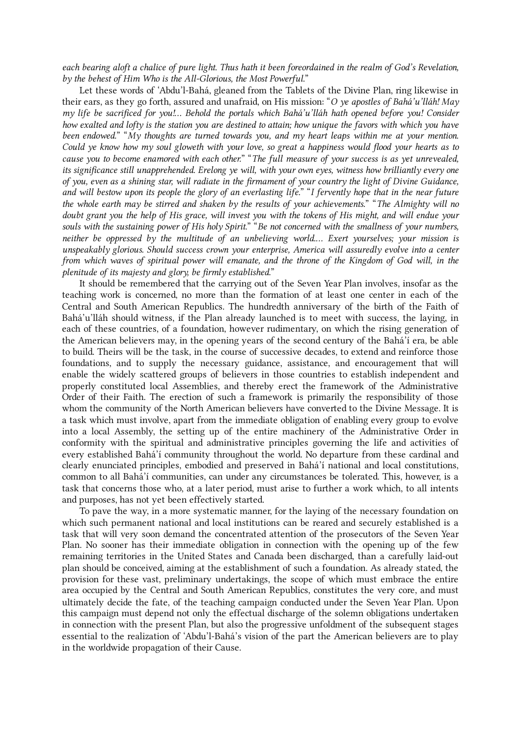each bearing aloft a chalice of pure light. Thus hath it been foreordained in the realm of God's Revelation, by the behest of Him Who is the All-Glorious, the Most Powerful."

Let these words of 'Abdu'l-Bahá, gleaned from the Tablets of the Divine Plan, ring likewise in their ears, as they go forth, assured and unafraid, on His mission: "O ye apostles of Bahá'u'lláh! May my life be sacrificed for you!… Behold the portals which Bahá'u'lláh hath opened before you! Consider how exalted and lofty is the station you are destined to attain; how unique the favors with which you have been endowed." "My thoughts are turned towards you, and my heart leaps within me at your mention. Could ye know how my soul gloweth with your love, so great a happiness would flood your hearts as to cause you to become enamored with each other." "The full measure of your success is as yet unrevealed, its significance still unapprehended. Erelong ye will, with your own eyes, witness how brilliantly every one of you, even as a shining star, will radiate in the firmament of your country the light of Divine Guidance, and will bestow upon its people the glory of an everlasting life." "I fervently hope that in the near future the whole earth may be stirred and shaken by the results of your achievements." "The Almighty will no doubt grant you the help of His grace, will invest you with the tokens of His might, and will endue your souls with the sustaining power of His holy Spirit." "Be not concerned with the smallness of your numbers, neither be oppressed by the multitude of an unbelieving world.... Exert yourselves; your mission is unspeakably glorious. Should success crown your enterprise, America will assuredly evolve into a center from which waves of spiritual power will emanate, and the throne of the Kingdom of God will, in the plenitude of its majesty and glory, be firmly established."

<span id="page-28-0"></span>It should be remembered that the carrying out of the Seven Year Plan involves, insofar as the teaching work is concerned, no more than the formation of at least one center in each of the Central and South American Republics. The hundredth anniversary of the birth of the Faith of Bahá'u'lláh should witness, if the Plan already launched is to meet with success, the laying, in each of these countries, of a foundation, however rudimentary, on which the rising generation of the American believers may, in the opening years of the second century of the Bahá'í era, be able to build. Theirs will be the task, in the course of successive decades, to extend and reinforce those foundations, and to supply the necessary guidance, assistance, and encouragement that will enable the widely scattered groups of believers in those countries to establish independent and properly constituted local Assemblies, and thereby erect the framework of the Administrative Order of their Faith. The erection of such a framework is primarily the responsibility of those whom the community of the North American believers have converted to the Divine Message. It is a task which must involve, apart from the immediate obligation of enabling every group to evolve into a local Assembly, the setting up of the entire machinery of the Administrative Order in conformity with the spiritual and administrative principles governing the life and activities of every established Bahá'í community throughout the world. No departure from these cardinal and clearly enunciated principles, embodied and preserved in Bahá'í national and local constitutions, common to all Bahá'í communities, can under any circumstances be tolerated. This, however, is a task that concerns those who, at a later period, must arise to further a work which, to all intents and purposes, has not yet been effectively started.

To pave the way, in a more systematic manner, for the laying of the necessary foundation on which such permanent national and local institutions can be reared and securely established is a task that will very soon demand the concentrated attention of the prosecutors of the Seven Year Plan. No sooner has their immediate obligation in connection with the opening up of the few remaining territories in the United States and Canada been discharged, than a carefully laid-out plan should be conceived, aiming at the establishment of such a foundation. As already stated, the provision for these vast, preliminary undertakings, the scope of which must embrace the entire area occupied by the Central and South American Republics, constitutes the very core, and must ultimately decide the fate, of the teaching campaign conducted under the Seven Year Plan. Upon this campaign must depend not only the effectual discharge of the solemn obligations undertaken in connection with the present Plan, but also the progressive unfoldment of the subsequent stages essential to the realization of 'Abdu'l-Bahá's vision of the part the American believers are to play in the worldwide propagation of their Cause.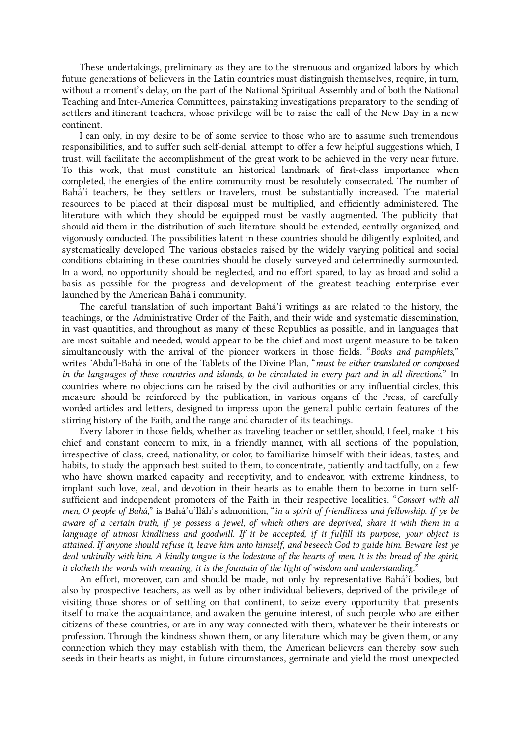These undertakings, preliminary as they are to the strenuous and organized labors by which future generations of believers in the Latin countries must distinguish themselves, require, in turn, without a moment's delay, on the part of the National Spiritual Assembly and of both the National Teaching and Inter-America Committees, painstaking investigations preparatory to the sending of settlers and itinerant teachers, whose privilege will be to raise the call of the New Day in a new continent.

I can only, in my desire to be of some service to those who are to assume such tremendous responsibilities, and to suffer such self-denial, attempt to offer a few helpful suggestions which, I trust, will facilitate the accomplishment of the great work to be achieved in the very near future. To this work, that must constitute an historical landmark of first-class importance when completed, the energies of the entire community must be resolutely consecrated. The number of Bahá'í teachers, be they settlers or travelers, must be substantially increased. The material resources to be placed at their disposal must be multiplied, and efficiently administered. The literature with which they should be equipped must be vastly augmented. The publicity that should aid them in the distribution of such literature should be extended, centrally organized, and vigorously conducted. The possibilities latent in these countries should be diligently exploited, and systematically developed. The various obstacles raised by the widely varying political and social conditions obtaining in these countries should be closely surveyed and determinedly surmounted. In a word, no opportunity should be neglected, and no effort spared, to lay as broad and solid a basis as possible for the progress and development of the greatest teaching enterprise ever launched by the American Bahá'í community.

<span id="page-29-0"></span>The careful translation of such important Bahá'í writings as are related to the history, the teachings, or the Administrative Order of the Faith, and their wide and systematic dissemination, in vast quantities, and throughout as many of these Republics as possible, and in languages that are most suitable and needed, would appear to be the chief and most urgent measure to be taken simultaneously with the arrival of the pioneer workers in those fields. "Books and pamphlets," writes 'Abdu'l-Bahá in one of the Tablets of the Divine Plan, "must be either translated or composed in the languages of these countries and islands, to be circulated in every part and in all directions." In countries where no objections can be raised by the civil authorities or any influential circles, this measure should be reinforced by the publication, in various organs of the Press, of carefully worded articles and letters, designed to impress upon the general public certain features of the stirring history of the Faith, and the range and character of its teachings.

<span id="page-29-1"></span>Every laborer in those fields, whether as traveling teacher or settler, should, I feel, make it his chief and constant concern to mix, in a friendly manner, with all sections of the population, irrespective of class, creed, nationality, or color, to familiarize himself with their ideas, tastes, and habits, to study the approach best suited to them, to concentrate, patiently and tactfully, on a few who have shown marked capacity and receptivity, and to endeavor, with extreme kindness, to implant such love, zeal, and devotion in their hearts as to enable them to become in turn selfsufficient and independent promoters of the Faith in their respective localities. "Consort with all men, O people of Bahá," is Bahá'u'lláh's admonition, "in a spirit of friendliness and fellowship. If ye be aware of a certain truth, if ye possess a jewel, of which others are deprived, share it with them in a language of utmost kindliness and goodwill. If it be accepted, if it fulfill its purpose, your object is attained. If anyone should refuse it, leave him unto himself, and beseech God to guide him. Beware lest ye deal unkindly with him. A kindly tongue is the lodestone of the hearts of men. It is the bread of the spirit, it clotheth the words with meaning, it is the fountain of the light of wisdom and understanding."

An effort, moreover, can and should be made, not only by representative Bahá'í bodies, but also by prospective teachers, as well as by other individual believers, deprived of the privilege of visiting those shores or of settling on that continent, to seize every opportunity that presents itself to make the acquaintance, and awaken the genuine interest, of such people who are either citizens of these countries, or are in any way connected with them, whatever be their interests or profession. Through the kindness shown them, or any literature which may be given them, or any connection which they may establish with them, the American believers can thereby sow such seeds in their hearts as might, in future circumstances, germinate and yield the most unexpected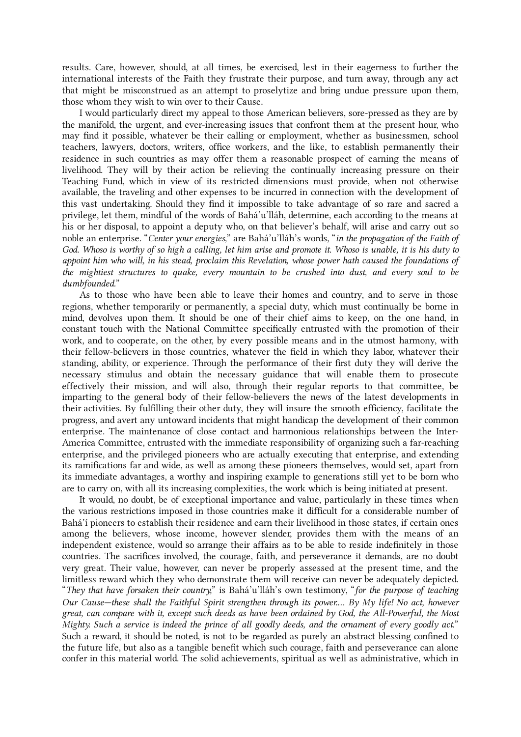results. Care, however, should, at all times, be exercised, lest in their eagerness to further the international interests of the Faith they frustrate their purpose, and turn away, through any act that might be misconstrued as an attempt to proselytize and bring undue pressure upon them, those whom they wish to win over to their Cause.

<span id="page-30-0"></span>I would particularly direct my appeal to those American believers, sore-pressed as they are by the manifold, the urgent, and ever-increasing issues that confront them at the present hour, who may find it possible, whatever be their calling or employment, whether as businessmen, school teachers, lawyers, doctors, writers, office workers, and the like, to establish permanently their residence in such countries as may offer them a reasonable prospect of earning the means of livelihood. They will by their action be relieving the continually increasing pressure on their Teaching Fund, which in view of its restricted dimensions must provide, when not otherwise available, the traveling and other expenses to be incurred in connection with the development of this vast undertaking. Should they find it impossible to take advantage of so rare and sacred a privilege, let them, mindful of the words of Bahá'u'lláh, determine, each according to the means at his or her disposal, to appoint a deputy who, on that believer's behalf, will arise and carry out so noble an enterprise. "Center your energies," are Bahá'u'lláh's words, "in the propagation of the Faith of God. Whoso is worthy of so high a calling, let him arise and promote it. Whoso is unable, it is his duty to appoint him who will, in his stead, proclaim this Revelation, whose power hath caused the foundations of the mightiest structures to quake, every mountain to be crushed into dust, and every soul to be dumbfounded."

<span id="page-30-1"></span>As to those who have been able to leave their homes and country, and to serve in those regions, whether temporarily or permanently, a special duty, which must continually be borne in mind, devolves upon them. It should be one of their chief aims to keep, on the one hand, in constant touch with the National Committee specifically entrusted with the promotion of their work, and to cooperate, on the other, by every possible means and in the utmost harmony, with their fellow-believers in those countries, whatever the field in which they labor, whatever their standing, ability, or experience. Through the performance of their first duty they will derive the necessary stimulus and obtain the necessary guidance that will enable them to prosecute effectively their mission, and will also, through their regular reports to that committee, be imparting to the general body of their fellow-believers the news of the latest developments in their activities. By fulfilling their other duty, they will insure the smooth efficiency, facilitate the progress, and avert any untoward incidents that might handicap the development of their common enterprise. The maintenance of close contact and harmonious relationships between the Inter-America Committee, entrusted with the immediate responsibility of organizing such a far-reaching enterprise, and the privileged pioneers who are actually executing that enterprise, and extending its ramifications far and wide, as well as among these pioneers themselves, would set, apart from its immediate advantages, a worthy and inspiring example to generations still yet to be born who are to carry on, with all its increasing complexities, the work which is being initiated at present.

<span id="page-30-2"></span>It would, no doubt, be of exceptional importance and value, particularly in these times when the various restrictions imposed in those countries make it difficult for a considerable number of Bahá'í pioneers to establish their residence and earn their livelihood in those states, if certain ones among the believers, whose income, however slender, provides them with the means of an independent existence, would so arrange their affairs as to be able to reside indefinitely in those countries. The sacrifices involved, the courage, faith, and perseverance it demands, are no doubt very great. Their value, however, can never be properly assessed at the present time, and the limitless reward which they who demonstrate them will receive can never be adequately depicted. "They that have forsaken their country," is Bahá'u'lláh's own testimony, "for the purpose of teaching Our Cause—these shall the Faithful Spirit strengthen through its power.… By My life! No act, however great, can compare with it, except such deeds as have been ordained by God, the All-Powerful, the Most Mighty. Such a service is indeed the prince of all goodly deeds, and the ornament of every goodly act." Such a reward, it should be noted, is not to be regarded as purely an abstract blessing confined to the future life, but also as a tangible benefit which such courage, faith and perseverance can alone confer in this material world. The solid achievements, spiritual as well as administrative, which in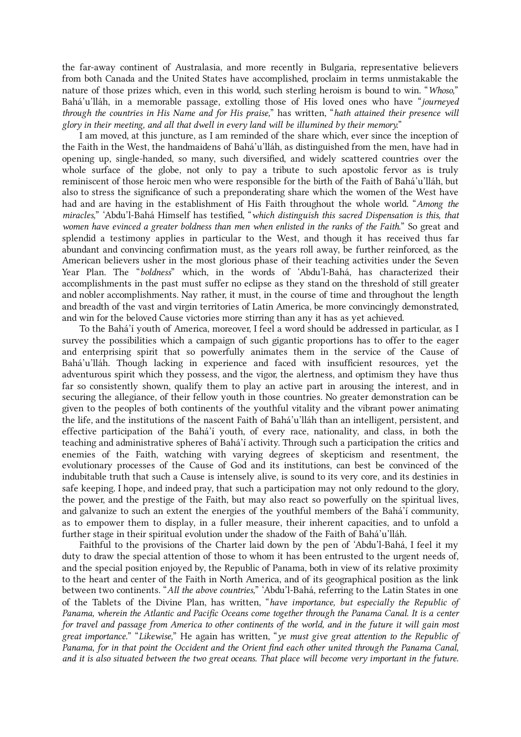the far-away continent of Australasia, and more recently in Bulgaria, representative believers from both Canada and the United States have accomplished, proclaim in terms unmistakable the nature of those prizes which, even in this world, such sterling heroism is bound to win. "Whoso," Bahá'u'lláh, in a memorable passage, extolling those of His loved ones who have "journeyed through the countries in His Name and for His praise," has written, "hath attained their presence will glory in their meeting, and all that dwell in every land will be illumined by their memory."

<span id="page-31-0"></span>I am moved, at this juncture, as I am reminded of the share which, ever since the inception of the Faith in the West, the handmaidens of Bahá'u'lláh, as distinguished from the men, have had in opening up, single-handed, so many, such diversified, and widely scattered countries over the whole surface of the globe, not only to pay a tribute to such apostolic fervor as is truly reminiscent of those heroic men who were responsible for the birth of the Faith of Bahá'u'lláh, but also to stress the significance of such a preponderating share which the women of the West have had and are having in the establishment of His Faith throughout the whole world. "Among the miracles," 'Abdu'l-Bahá Himself has testified, "which distinguish this sacred Dispensation is this, that women have evinced a greater boldness than men when enlisted in the ranks of the Faith." So great and splendid a testimony applies in particular to the West, and though it has received thus far abundant and convincing confirmation must, as the years roll away, be further reinforced, as the American believers usher in the most glorious phase of their teaching activities under the Seven Year Plan. The "boldness" which, in the words of 'Abdu'l-Bahá, has characterized their accomplishments in the past must suffer no eclipse as they stand on the threshold of still greater and nobler accomplishments. Nay rather, it must, in the course of time and throughout the length and breadth of the vast and virgin territories of Latin America, be more convincingly demonstrated, and win for the beloved Cause victories more stirring than any it has as yet achieved.

<span id="page-31-1"></span>To the Bahá'í youth of America, moreover, I feel a word should be addressed in particular, as I survey the possibilities which a campaign of such gigantic proportions has to offer to the eager and enterprising spirit that so powerfully animates them in the service of the Cause of Bahá'u'lláh. Though lacking in experience and faced with insufficient resources, yet the adventurous spirit which they possess, and the vigor, the alertness, and optimism they have thus far so consistently shown, qualify them to play an active part in arousing the interest, and in securing the allegiance, of their fellow youth in those countries. No greater demonstration can be given to the peoples of both continents of the youthful vitality and the vibrant power animating the life, and the institutions of the nascent Faith of Bahá'u'lláh than an intelligent, persistent, and effective participation of the Bahá'í youth, of every race, nationality, and class, in both the teaching and administrative spheres of Bahá'í activity. Through such a participation the critics and enemies of the Faith, watching with varying degrees of skepticism and resentment, the evolutionary processes of the Cause of God and its institutions, can best be convinced of the indubitable truth that such a Cause is intensely alive, is sound to its very core, and its destinies in safe keeping. I hope, and indeed pray, that such a participation may not only redound to the glory, the power, and the prestige of the Faith, but may also react so powerfully on the spiritual lives, and galvanize to such an extent the energies of the youthful members of the Bahá'í community, as to empower them to display, in a fuller measure, their inherent capacities, and to unfold a further stage in their spiritual evolution under the shadow of the Faith of Bahá'u'lláh.

<span id="page-31-2"></span>Faithful to the provisions of the Charter laid down by the pen of 'Abdu'l-Bahá, I feel it my duty to draw the special attention of those to whom it has been entrusted to the urgent needs of, and the special position enjoyed by, the Republic of Panama, both in view of its relative proximity to the heart and center of the Faith in North America, and of its geographical position as the link between two continents. "All the above countries," 'Abdu'l-Bahá, referring to the Latin States in one of the Tablets of the Divine Plan, has written, "have importance, but especially the Republic of Panama, wherein the Atlantic and Pacific Oceans come together through the Panama Canal. It is a center for travel and passage from America to other continents of the world, and in the future it will gain most great importance." "Likewise," He again has written, "ye must give great attention to the Republic of Panama, for in that point the Occident and the Orient find each other united through the Panama Canal, and it is also situated between the two great oceans. That place will become very important in the future.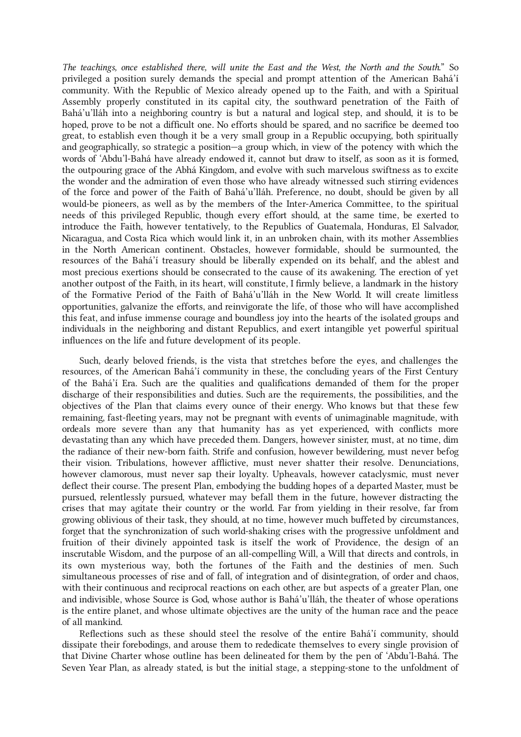The teachings, once established there, will unite the East and the West, the North and the South." So privileged a position surely demands the special and prompt attention of the American Bahá'í community. With the Republic of Mexico already opened up to the Faith, and with a Spiritual Assembly properly constituted in its capital city, the southward penetration of the Faith of Bahá'u'lláh into a neighboring country is but a natural and logical step, and should, it is to be hoped, prove to be not a difficult one. No efforts should be spared, and no sacrifice be deemed too great, to establish even though it be a very small group in a Republic occupying, both spiritually and geographically, so strategic a position—a group which, in view of the potency with which the words of 'Abdu'l‑Bahá have already endowed it, cannot but draw to itself, as soon as it is formed, the outpouring grace of the Abhá Kingdom, and evolve with such marvelous swiftness as to excite the wonder and the admiration of even those who have already witnessed such stirring evidences of the force and power of the Faith of Bahá'u'lláh. Preference, no doubt, should be given by all would-be pioneers, as well as by the members of the Inter-America Committee, to the spiritual needs of this privileged Republic, though every effort should, at the same time, be exerted to introduce the Faith, however tentatively, to the Republics of Guatemala, Honduras, El Salvador, Nicaragua, and Costa Rica which would link it, in an unbroken chain, with its mother Assemblies in the North American continent. Obstacles, however formidable, should be surmounted, the resources of the Bahá'í treasury should be liberally expended on its behalf, and the ablest and most precious exertions should be consecrated to the cause of its awakening. The erection of yet another outpost of the Faith, in its heart, will constitute, I firmly believe, a landmark in the history of the Formative Period of the Faith of Bahá'u'lláh in the New World. It will create limitless opportunities, galvanize the efforts, and reinvigorate the life, of those who will have accomplished this feat, and infuse immense courage and boundless joy into the hearts of the isolated groups and individuals in the neighboring and distant Republics, and exert intangible yet powerful spiritual influences on the life and future development of its people.

<span id="page-32-0"></span>Such, dearly beloved friends, is the vista that stretches before the eyes, and challenges the resources, of the American Bahá'í community in these, the concluding years of the First Century of the Bahá'í Era. Such are the qualities and qualifications demanded of them for the proper discharge of their responsibilities and duties. Such are the requirements, the possibilities, and the objectives of the Plan that claims every ounce of their energy. Who knows but that these few remaining, fast-fleeting years, may not be pregnant with events of unimaginable magnitude, with ordeals more severe than any that humanity has as yet experienced, with conflicts more devastating than any which have preceded them. Dangers, however sinister, must, at no time, dim the radiance of their new-born faith. Strife and confusion, however bewildering, must never befog their vision. Tribulations, however afflictive, must never shatter their resolve. Denunciations, however clamorous, must never sap their loyalty. Upheavals, however cataclysmic, must never deflect their course. The present Plan, embodying the budding hopes of a departed Master, must be pursued, relentlessly pursued, whatever may befall them in the future, however distracting the crises that may agitate their country or the world. Far from yielding in their resolve, far from growing oblivious of their task, they should, at no time, however much buffeted by circumstances, forget that the synchronization of such world-shaking crises with the progressive unfoldment and fruition of their divinely appointed task is itself the work of Providence, the design of an inscrutable Wisdom, and the purpose of an all-compelling Will, a Will that directs and controls, in its own mysterious way, both the fortunes of the Faith and the destinies of men. Such simultaneous processes of rise and of fall, of integration and of disintegration, of order and chaos, with their continuous and reciprocal reactions on each other, are but aspects of a greater Plan, one and indivisible, whose Source is God, whose author is Bahá'u'lláh, the theater of whose operations is the entire planet, and whose ultimate objectives are the unity of the human race and the peace of all mankind.

Reflections such as these should steel the resolve of the entire Bahá'í community, should dissipate their forebodings, and arouse them to rededicate themselves to every single provision of that Divine Charter whose outline has been delineated for them by the pen of 'Abdu'l‑Bahá. The Seven Year Plan, as already stated, is but the initial stage, a stepping-stone to the unfoldment of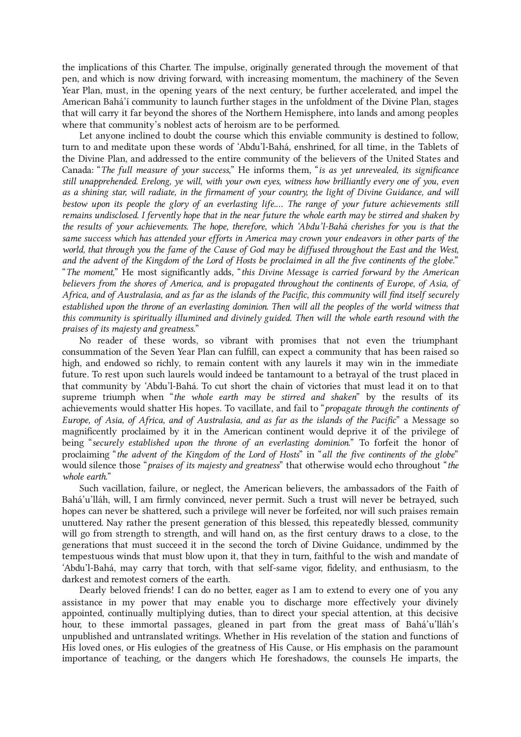the implications of this Charter. The impulse, originally generated through the movement of that pen, and which is now driving forward, with increasing momentum, the machinery of the Seven Year Plan, must, in the opening years of the next century, be further accelerated, and impel the American Bahá'í community to launch further stages in the unfoldment of the Divine Plan, stages that will carry it far beyond the shores of the Northern Hemisphere, into lands and among peoples where that community's noblest acts of heroism are to be performed.

<span id="page-33-0"></span>Let anyone inclined to doubt the course which this enviable community is destined to follow, turn to and meditate upon these words of 'Abdu'l‑Bahá, enshrined, for all time, in the Tablets of the Divine Plan, and addressed to the entire community of the believers of the United States and Canada: "The full measure of your success," He informs them, "is as yet unrevealed, its significance still unapprehended. Erelong, ye will, with your own eyes, witness how brilliantly every one of you, even as a shining star, will radiate, in the firmament of your country, the light of Divine Guidance, and will bestow upon its people the glory of an everlasting life.… The range of your future achievements still remains undisclosed. I fervently hope that in the near future the whole earth may be stirred and shaken by the results of your achievements. The hope, therefore, which 'Abdu'l‑Bahá cherishes for you is that the same success which has attended your efforts in America may crown your endeavors in other parts of the world, that through you the fame of the Cause of God may be diffused throughout the East and the West, and the advent of the Kingdom of the Lord of Hosts be proclaimed in all the five continents of the globe." "The moment," He most significantly adds, "this Divine Message is carried forward by the American believers from the shores of America, and is propagated throughout the continents of Europe, of Asia, of Africa, and of Australasia, and as far as the islands of the Pacific, this community will find itself securely established upon the throne of an everlasting dominion. Then will all the peoples of the world witness that this community is spiritually illumined and divinely guided. Then will the whole earth resound with the praises of its majesty and greatness."

No reader of these words, so vibrant with promises that not even the triumphant consummation of the Seven Year Plan can fulfill, can expect a community that has been raised so high, and endowed so richly, to remain content with any laurels it may win in the immediate future. To rest upon such laurels would indeed be tantamount to a betrayal of the trust placed in that community by 'Abdu'l‑Bahá. To cut short the chain of victories that must lead it on to that supreme triumph when "the whole earth may be stirred and shaken" by the results of its achievements would shatter His hopes. To vacillate, and fail to "propagate through the continents of Europe, of Asia, of Africa, and of Australasia, and as far as the islands of the Pacific" a Message so magnificently proclaimed by it in the American continent would deprive it of the privilege of being "securely established upon the throne of an everlasting dominion." To forfeit the honor of proclaiming "the advent of the Kingdom of the Lord of Hosts" in "all the five continents of the globe" would silence those "praises of its majesty and greatness" that otherwise would echo throughout "the whole earth."

<span id="page-33-1"></span>Such vacillation, failure, or neglect, the American believers, the ambassadors of the Faith of Bahá'u'lláh, will, I am firmly convinced, never permit. Such a trust will never be betrayed, such hopes can never be shattered, such a privilege will never be forfeited, nor will such praises remain unuttered. Nay rather the present generation of this blessed, this repeatedly blessed, community will go from strength to strength, and will hand on, as the first century draws to a close, to the generations that must succeed it in the second the torch of Divine Guidance, undimmed by the tempestuous winds that must blow upon it, that they in turn, faithful to the wish and mandate of 'Abdu'l‑Bahá, may carry that torch, with that self-same vigor, fidelity, and enthusiasm, to the darkest and remotest corners of the earth.

<span id="page-33-2"></span>Dearly beloved friends! I can do no better, eager as I am to extend to every one of you any assistance in my power that may enable you to discharge more effectively your divinely appointed, continually multiplying duties, than to direct your special attention, at this decisive hour, to these immortal passages, gleaned in part from the great mass of Bahá'u'lláh's unpublished and untranslated writings. Whether in His revelation of the station and functions of His loved ones, or His eulogies of the greatness of His Cause, or His emphasis on the paramount importance of teaching, or the dangers which He foreshadows, the counsels He imparts, the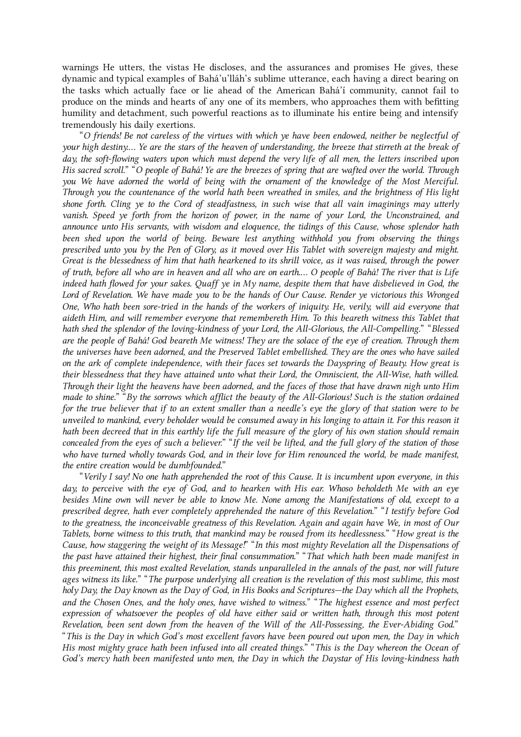warnings He utters, the vistas He discloses, and the assurances and promises He gives, these dynamic and typical examples of Bahá'u'lláh's sublime utterance, each having a direct bearing on the tasks which actually face or lie ahead of the American Bahá'í community, cannot fail to produce on the minds and hearts of any one of its members, who approaches them with befitting humility and detachment, such powerful reactions as to illuminate his entire being and intensify tremendously his daily exertions.

<span id="page-34-0"></span>"O friends! Be not careless of the virtues with which ye have been endowed, neither be neglectful of your high destiny.… Ye are the stars of the heaven of understanding, the breeze that stirreth at the break of day, the soft-flowing waters upon which must depend the very life of all men, the letters inscribed upon His sacred scroll." "O people of Bahá! Ye are the breezes of spring that are wafted over the world. Through you We have adorned the world of being with the ornament of the knowledge of the Most Merciful. Through you the countenance of the world hath been wreathed in smiles, and the brightness of His light shone forth. Cling ye to the Cord of steadfastness, in such wise that all vain imaginings may utterly vanish. Speed ye forth from the horizon of power, in the name of your Lord, the Unconstrained, and announce unto His servants, with wisdom and eloquence, the tidings of this Cause, whose splendor hath been shed upon the world of being. Beware lest anything withhold you from observing the things prescribed unto you by the Pen of Glory, as it moved over His Tablet with sovereign majesty and might. Great is the blessedness of him that hath hearkened to its shrill voice, as it was raised, through the power of truth, before all who are in heaven and all who are on earth.… O people of Bahá! The river that is Life indeed hath flowed for your sakes. Quaff ye in My name, despite them that have disbelieved in God, the Lord of Revelation. We have made you to be the hands of Our Cause. Render ye victorious this Wronged One, Who hath been sore-tried in the hands of the workers of iniquity. He, verily, will aid everyone that aideth Him, and will remember everyone that remembereth Him. To this beareth witness this Tablet that hath shed the splendor of the loving-kindness of your Lord, the All-Glorious, the All-Compelling." "Blessed are the people of Bahá! God beareth Me witness! They are the solace of the eye of creation. Through them the universes have been adorned, and the Preserved Tablet embellished. They are the ones who have sailed on the ark of complete independence, with their faces set towards the Dayspring of Beauty. How great is their blessedness that they have attained unto what their Lord, the Omniscient, the All-Wise, hath willed. Through their light the heavens have been adorned, and the faces of those that have drawn nigh unto Him made to shine." "By the sorrows which afflict the beauty of the All-Glorious! Such is the station ordained for the true believer that if to an extent smaller than a needle's eye the glory of that station were to be unveiled to mankind, every beholder would be consumed away in his longing to attain it. For this reason it hath been decreed that in this earthly life the full measure of the glory of his own station should remain concealed from the eyes of such a believer." "If the veil be lifted, and the full glory of the station of those who have turned wholly towards God, and in their love for Him renounced the world, be made manifest, the entire creation would be dumbfounded."

<span id="page-34-1"></span>"Verily I say! No one hath apprehended the root of this Cause. It is incumbent upon everyone, in this day, to perceive with the eye of God, and to hearken with His ear. Whoso beholdeth Me with an eye besides Mine own will never be able to know Me. None among the Manifestations of old, except to a prescribed degree, hath ever completely apprehended the nature of this Revelation." "I testify before God to the greatness, the inconceivable greatness of this Revelation. Again and again have We, in most of Our Tablets, borne witness to this truth, that mankind may be roused from its heedlessness." "How great is the Cause, how staggering the weight of its Message!" "In this most mighty Revelation all the Dispensations of the past have attained their highest, their final consummation." "That which hath been made manifest in this preeminent, this most exalted Revelation, stands unparalleled in the annals of the past, nor will future ages witness its like." "The purpose underlying all creation is the revelation of this most sublime, this most holy Day, the Day known as the Day of God, in His Books and Scriptures—the Day which all the Prophets, and the Chosen Ones, and the holy ones, have wished to witness." "The highest essence and most perfect expression of whatsoever the peoples of old have either said or written hath, through this most potent Revelation, been sent down from the heaven of the Will of the All-Possessing, the Ever-Abiding God." "This is the Day in which God's most excellent favors have been poured out upon men, the Day in which His most mighty grace hath been infused into all created things." "This is the Day whereon the Ocean of God's mercy hath been manifested unto men, the Day in which the Daystar of His loving-kindness hath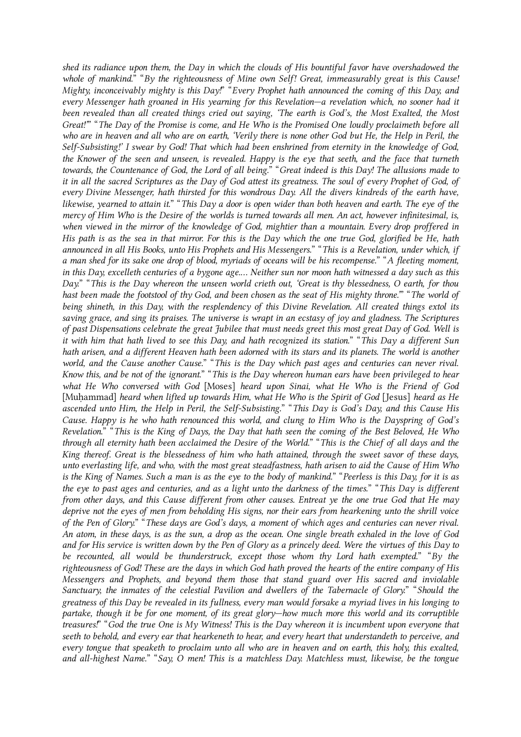shed its radiance upon them, the Day in which the clouds of His bountiful favor have overshadowed the whole of mankind." "By the righteousness of Mine own Self! Great, immeasurably great is this Cause! Mighty, inconceivably mighty is this Day!" "Every Prophet hath announced the coming of this Day, and every Messenger hath groaned in His yearning for this Revelation—a revelation which, no sooner had it been revealed than all created things cried out saying, 'The earth is God's, the Most Exalted, the Most Great!'" "The Day of the Promise is come, and He Who is the Promised One loudly proclaimeth before all who are in heaven and all who are on earth, 'Verily there is none other God but He, the Help in Peril, the Self-Subsisting!' I swear by God! That which had been enshrined from eternity in the knowledge of God, the Knower of the seen and unseen, is revealed. Happy is the eye that seeth, and the face that turneth towards, the Countenance of God, the Lord of all being." "Great indeed is this Day! The allusions made to it in all the sacred Scriptures as the Day of God attest its greatness. The soul of every Prophet of God, of every Divine Messenger, hath thirsted for this wondrous Day. All the divers kindreds of the earth have, likewise, yearned to attain it." "This Day a door is open wider than both heaven and earth. The eye of the mercy of Him Who is the Desire of the worlds is turned towards all men. An act, however infinitesimal, is, when viewed in the mirror of the knowledge of God, mightier than a mountain. Every drop proffered in His path is as the sea in that mirror. For this is the Day which the one true God, glorified be He, hath announced in all His Books, unto His Prophets and His Messengers." "This is a Revelation, under which, if a man shed for its sake one drop of blood, myriads of oceans will be his recompense." "A fleeting moment, in this Day, excelleth centuries of a bygone age.… Neither sun nor moon hath witnessed a day such as this Day." "This is the Day whereon the unseen world crieth out, 'Great is thy blessedness, O earth, for thou hast been made the footstool of thy God, and been chosen as the seat of His mighty throne." "The world of being shineth, in this Day, with the resplendency of this Divine Revelation. All created things extol its saving grace, and sing its praises. The universe is wrapt in an ecstasy of joy and gladness. The Scriptures of past Dispensations celebrate the great Jubilee that must needs greet this most great Day of God. Well is it with him that hath lived to see this Day, and hath recognized its station." "This Day a different Sun hath arisen, and a different Heaven hath been adorned with its stars and its planets. The world is another world, and the Cause another Cause." "This is the Day which past ages and centuries can never rival. Know this, and be not of the ignorant." "This is the Day whereon human ears have been privileged to hear what He Who conversed with God [Moses] heard upon Sinai, what He Who is the Friend of God [Muhammad] heard when lifted up towards Him, what He Who is the Spirit of God [Jesus] heard as He ascended unto Him, the Help in Peril, the Self-Subsisting." "This Day is God's Day, and this Cause His Cause. Happy is he who hath renounced this world, and clung to Him Who is the Dayspring of God's Revelation." "This is the King of Days, the Day that hath seen the coming of the Best Beloved, He Who through all eternity hath been acclaimed the Desire of the World." "This is the Chief of all days and the King thereof. Great is the blessedness of him who hath attained, through the sweet savor of these days, unto everlasting life, and who, with the most great steadfastness, hath arisen to aid the Cause of Him Who is the King of Names. Such a man is as the eye to the body of mankind." "Peerless is this Day, for it is as the eye to past ages and centuries, and as a light unto the darkness of the times." "This Day is different from other days, and this Cause different from other causes. Entreat ye the one true God that He may deprive not the eyes of men from beholding His signs, nor their ears from hearkening unto the shrill voice of the Pen of Glory." "These days are God's days, a moment of which ages and centuries can never rival. An atom, in these days, is as the sun, a drop as the ocean. One single breath exhaled in the love of God and for His service is written down by the Pen of Glory as a princely deed. Were the virtues of this Day to be recounted, all would be thunderstruck, except those whom thy Lord hath exempted." "By the righteousness of God! These are the days in which God hath proved the hearts of the entire company of His Messengers and Prophets, and beyond them those that stand guard over His sacred and inviolable Sanctuary, the inmates of the celestial Pavilion and dwellers of the Tabernacle of Glory." "Should the greatness of this Day be revealed in its fullness, every man would forsake a myriad lives in his longing to partake, though it be for one moment, of its great glory—how much more this world and its corruptible treasures!" "God the true One is My Witness! This is the Day whereon it is incumbent upon everyone that seeth to behold, and every ear that hearkeneth to hear, and every heart that understandeth to perceive, and every tongue that speaketh to proclaim unto all who are in heaven and on earth, this holy, this exalted, and all-highest Name." "Say, O men! This is a matchless Day. Matchless must, likewise, be the tongue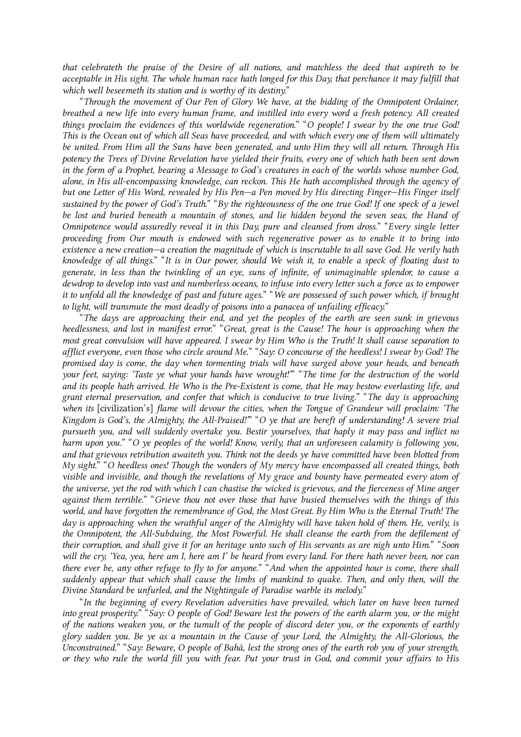that celebrateth the praise of the Desire of all nations, and matchless the deed that aspireth to be acceptable in His sight. The whole human race hath longed for this Day, that perchance it may fulfill that which well beseemeth its station and is worthy of its destiny."

<span id="page-36-0"></span>"Through the movement of Our Pen of Glory We have, at the bidding of the Omnipotent Ordainer, breathed a new life into every human frame, and instilled into every word a fresh potency. All created things proclaim the evidences of this worldwide regeneration." "O people! I swear by the one true God! This is the Ocean out of which all Seas have proceeded, and with which every one of them will ultimately be united. From Him all the Suns have been generated, and unto Him they will all return. Through His potency the Trees of Divine Revelation have yielded their fruits, every one of which hath been sent down in the form of a Prophet, bearing a Message to God's creatures in each of the worlds whose number God, alone, in His all-encompassing knowledge, can reckon. This He hath accomplished through the agency of but one Letter of His Word, revealed by His Pen—a Pen moved by His directing Finger—His Finger itself sustained by the power of God's Truth." "By the righteousness of the one true God! If one speck of a jewel be lost and buried beneath a mountain of stones, and lie hidden beyond the seven seas, the Hand of Omnipotence would assuredly reveal it in this Day, pure and cleansed from dross." "Every single letter proceeding from Our mouth is endowed with such regenerative power as to enable it to bring into existence a new creation—a creation the magnitude of which is inscrutable to all save God. He verily hath knowledge of all things." "It is in Our power, should We wish it, to enable a speck of floating dust to generate, in less than the twinkling of an eye, suns of infinite, of unimaginable splendor, to cause a dewdrop to develop into vast and numberless oceans, to infuse into every letter such a force as to empower it to unfold all the knowledge of past and future ages." "We are possessed of such power which, if brought to light, will transmute the most deadly of poisons into a panacea of unfailing efficacy."

<span id="page-36-1"></span>"The days are approaching their end, and yet the peoples of the earth are seen sunk in grievous heedlessness, and lost in manifest error." "Great, great is the Cause! The hour is approaching when the most great convulsion will have appeared. I swear by Him Who is the Truth! It shall cause separation to afflict everyone, even those who circle around Me." "Say: O concourse of the heedless! I swear by God! The promised day is come, the day when tormenting trials will have surged above your heads, and beneath your feet, saying: 'Taste ye what your hands have wrought!'" "The time for the destruction of the world and its people hath arrived. He Who is the Pre-Existent is come, that He may bestow everlasting life, and grant eternal preservation, and confer that which is conducive to true living." "The day is approaching when its [civilization's] flame will devour the cities, when the Tongue of Grandeur will proclaim: 'The Kingdom is God's, the Almighty, the All-Praised!"" "O ye that are bereft of understanding! A severe trial pursueth you, and will suddenly overtake you. Bestir yourselves, that haply it may pass and inflict no harm upon you." "O ye peoples of the world! Know, verily, that an unforeseen calamity is following you, and that grievous retribution awaiteth you. Think not the deeds ye have committed have been blotted from My sight." "O heedless ones! Though the wonders of My mercy have encompassed all created things, both visible and invisible, and though the revelations of  $My$  grace and bounty have permeated every atom of the universe, yet the rod with which I can chastise the wicked is grievous, and the fierceness of Mine anger against them terrible." "Grieve thou not over those that have busied themselves with the things of this world, and have forgotten the remembrance of God, the Most Great. By Him Who is the Eternal Truth! The day is approaching when the wrathful anger of the Almighty will have taken hold of them. He, verily is the Omnipotent, the All-Subduing, the Most Powerful. He shall cleanse the earth from the defilement of their corruption, and shall give it for an heritage unto such of His servants as are nigh unto Him." "Soon will the cry, 'Yea, yea, here am I, here am I' be heard from every land. For there hath never been, nor can there ever be, any other refuge to fly to for anyone." "And when the appointed hour is come, there shall suddenly appear that which shall cause the limbs of mankind to quake. Then, and only then, will the Divine Standard be unfurled, and the Nightingale of Paradise warble its melody."

"In the beginning of every Revelation adversities have prevailed, which later on have been turned into great prosperity." "Say: O people of God! Beware lest the powers of the earth alarm you, or the might of the nations weaken you, or the tumult of the people of discord deter you, or the exponents of earthly glory sadden you. Be ye as a mountain in the Cause of your Lord, the Almighty, the All-Glorious, the Unconstrained." "Say: Beware, O people of Bahá, lest the strong ones of the earth rob you of your strength, or they who rule the world fill you with fear. Put your trust in God, and commit your affairs to His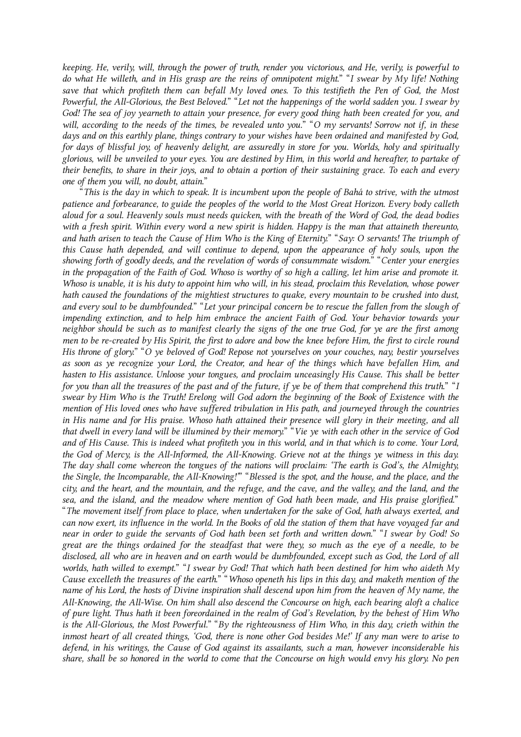keeping. He, verily, will, through the power of truth, render you victorious, and He, verily, is powerful to do what He willeth, and in His grasp are the reins of omnipotent might." "I swear by My life! Nothing save that which profiteth them can befall My loved ones. To this testifieth the Pen of God, the Most Powerful, the All-Glorious, the Best Beloved." "Let not the happenings of the world sadden you. I swear by God! The sea of joy yearneth to attain your presence, for every good thing hath been created for you, and will, according to the needs of the times, be revealed unto you." "O my servants! Sorrow not if, in these days and on this earthly plane, things contrary to your wishes have been ordained and manifested by God, for days of blissful joy, of heavenly delight, are assuredly in store for you. Worlds, holy and spiritually glorious, will be unveiled to your eyes. You are destined by Him, in this world and hereafter, to partake of their benefits, to share in their joys, and to obtain a portion of their sustaining grace. To each and every one of them you will, no doubt, attain."

<span id="page-37-0"></span>"This is the day in which to speak. It is incumbent upon the people of Bahá to strive, with the utmost patience and forbearance, to guide the peoples of the world to the Most Great Horizon. Every body calleth aloud for a soul. Heavenly souls must needs quicken, with the breath of the Word of God, the dead bodies with a fresh spirit. Within every word a new spirit is hidden. Happy is the man that attaineth thereunto, and hath arisen to teach the Cause of Him Who is the King of Eternity." "Say: O servants! The triumph of this Cause hath depended, and will continue to depend, upon the appearance of holy souls, upon the showing forth of goodly deeds, and the revelation of words of consummate wisdom." "Center your energies in the propagation of the Faith of God. Whoso is worthy of so high a calling, let him arise and promote it. Whoso is unable, it is his duty to appoint him who will, in his stead, proclaim this Revelation, whose power hath caused the foundations of the mightiest structures to quake, every mountain to be crushed into dust, and every soul to be dumbfounded." "Let your principal concern be to rescue the fallen from the slough of impending extinction, and to help him embrace the ancient Faith of God. Your behavior towards your neighbor should be such as to manifest clearly the signs of the one true God, for ye are the first among men to be re-created by His Spirit, the first to adore and bow the knee before Him, the first to circle round His throne of glory." "O ye beloved of God! Repose not yourselves on your couches, nay, bestir yourselves as soon as ye recognize your Lord, the Creator, and hear of the things which have befallen Him, and hasten to His assistance. Unloose your tongues, and proclaim unceasingly His Cause. This shall be better for you than all the treasures of the past and of the future, if ye be of them that comprehend this truth." "I swear by Him Who is the Truth! Erelong will God adorn the beginning of the Book of Existence with the mention of His loved ones who have suffered tribulation in His path, and journeyed through the countries in His name and for His praise. Whoso hath attained their presence will glory in their meeting, and all that dwell in every land will be illumined by their memory." "Vie ye with each other in the service of God and of His Cause. This is indeed what profiteth you in this world, and in that which is to come. Your Lord, the God of Mercy, is the All-Informed, the All-Knowing. Grieve not at the things ye witness in this day. The day shall come whereon the tongues of the nations will proclaim: 'The earth is God's, the Almighty, the Single, the Incomparable, the All-Knowing!'" "Blessed is the spot, and the house, and the place, and the city, and the heart, and the mountain, and the refuge, and the cave, and the valley, and the land, and the sea, and the island, and the meadow where mention of God hath been made, and His praise glorified." "The movement itself from place to place, when undertaken for the sake of God, hath always exerted, and can now exert, its influence in the world. In the Books of old the station of them that have voyaged far and near in order to guide the servants of God hath been set forth and written down." "I swear by God! So great are the things ordained for the steadfast that were they, so much as the eye of a needle, to be disclosed, all who are in heaven and on earth would be dumbfounded, except such as God, the Lord of all worlds, hath willed to exempt." "I swear by God! That which hath been destined for him who aideth My Cause excelleth the treasures of the earth." "Whoso openeth his lips in this day, and maketh mention of the name of his Lord, the hosts of Divine inspiration shall descend upon him from the heaven of My name, the All-Knowing, the All-Wise. On him shall also descend the Concourse on high, each bearing aloft a chalice of pure light. Thus hath it been foreordained in the realm of God's Revelation, by the behest of Him Who is the All-Glorious, the Most Powerful." "By the righteousness of Him Who, in this day, crieth within the inmost heart of all created things, 'God, there is none other God besides Me!' If any man were to arise to defend, in his writings, the Cause of God against its assailants, such a man, however inconsiderable his share, shall be so honored in the world to come that the Concourse on high would envy his glory. No pen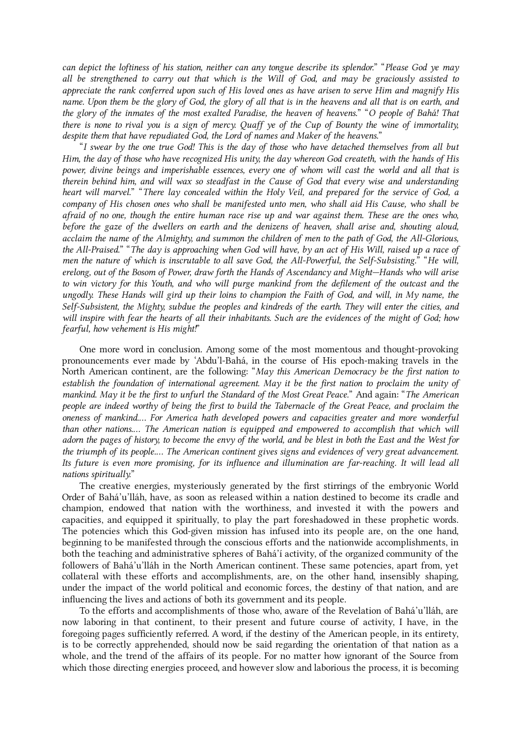can depict the loftiness of his station, neither can any tongue describe its splendor." "Please God ye may all be strengthened to carry out that which is the Will of God, and may be graciously assisted to appreciate the rank conferred upon such of His loved ones as have arisen to serve Him and magnify His name. Upon them be the glory of God, the glory of all that is in the heavens and all that is on earth, and the glory of the inmates of the most exalted Paradise, the heaven of heavens." "O people of Bahá! That there is none to rival you is a sign of mercy. Quaff ye of the Cup of Bounty the wine of immortality, despite them that have repudiated God, the Lord of names and Maker of the heavens."

"I swear by the one true God! This is the day of those who have detached themselves from all but Him, the day of those who have recognized His unity, the day whereon God createth, with the hands of His power, divine beings and imperishable essences, every one of whom will cast the world and all that is therein behind him, and will wax so steadfast in the Cause of God that every wise and understanding heart will marvel." "There lay concealed within the Holy Veil, and prepared for the service of God, a company of His chosen ones who shall be manifested unto men, who shall aid His Cause, who shall be afraid of no one, though the entire human race rise up and war against them. These are the ones who, before the gaze of the dwellers on earth and the denizens of heaven, shall arise and, shouting aloud, acclaim the name of the Almighty, and summon the children of men to the path of God, the All-Glorious, the All-Praised." "The day is approaching when God will have, by an act of His Will, raised up a race of men the nature of which is inscrutable to all save God, the All-Powerful, the Self-Subsisting." "He will, erelong, out of the Bosom of Power, draw forth the Hands of Ascendancy and Might—Hands who will arise to win victory for this Youth, and who will purge mankind from the defilement of the outcast and the ungodly. These Hands will gird up their loins to champion the Faith of God, and will, in My name, the Self-Subsistent, the Mighty, subdue the peoples and kindreds of the earth. They will enter the cities, and will inspire with fear the hearts of all their inhabitants. Such are the evidences of the might of God; how fearful, how vehement is His might!"

<span id="page-38-0"></span>One more word in conclusion. Among some of the most momentous and thought-provoking pronouncements ever made by 'Abdu'l‑Bahá, in the course of His epoch-making travels in the North American continent, are the following: "May this American Democracy be the first nation to establish the foundation of international agreement. May it be the first nation to proclaim the unity of mankind. May it be the first to unfurl the Standard of the Most Great Peace." And again: "The American people are indeed worthy of being the first to build the Tabernacle of the Great Peace, and proclaim the oneness of mankind.… For America hath developed powers and capacities greater and more wonderful than other nations.… The American nation is equipped and empowered to accomplish that which will adorn the pages of history, to become the envy of the world, and be blest in both the East and the West for the triumph of its people.… The American continent gives signs and evidences of very great advancement. Its future is even more promising, for its influence and illumination are far-reaching. It will lead all nations spiritually."

The creative energies, mysteriously generated by the first stirrings of the embryonic World Order of Bahá'u'lláh, have, as soon as released within a nation destined to become its cradle and champion, endowed that nation with the worthiness, and invested it with the powers and capacities, and equipped it spiritually, to play the part foreshadowed in these prophetic words. The potencies which this God-given mission has infused into its people are, on the one hand, beginning to be manifested through the conscious efforts and the nationwide accomplishments, in both the teaching and administrative spheres of Bahá'í activity, of the organized community of the followers of Bahá'u'lláh in the North American continent. These same potencies, apart from, yet collateral with these efforts and accomplishments, are, on the other hand, insensibly shaping, under the impact of the world political and economic forces, the destiny of that nation, and are influencing the lives and actions of both its government and its people.

To the efforts and accomplishments of those who, aware of the Revelation of Bahá'u'lláh, are now laboring in that continent, to their present and future course of activity, I have, in the foregoing pages sufficiently referred. A word, if the destiny of the American people, in its entirety, is to be correctly apprehended, should now be said regarding the orientation of that nation as a whole, and the trend of the affairs of its people. For no matter how ignorant of the Source from which those directing energies proceed, and however slow and laborious the process, it is becoming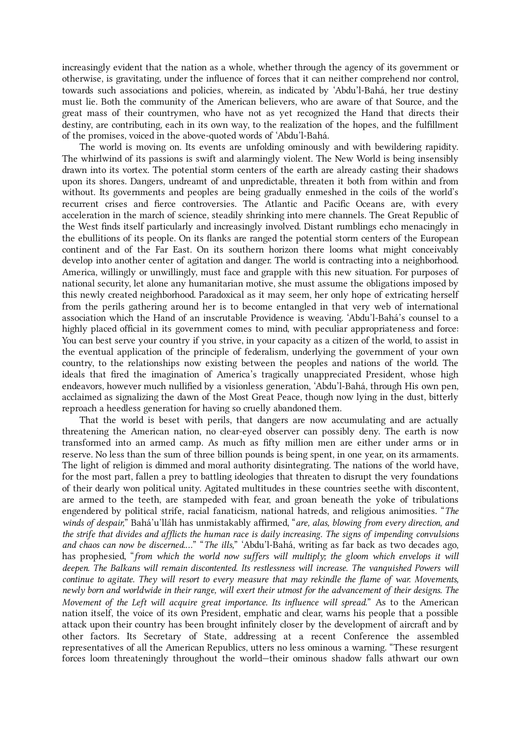increasingly evident that the nation as a whole, whether through the agency of its government or otherwise, is gravitating, under the influence of forces that it can neither comprehend nor control, towards such associations and policies, wherein, as indicated by 'Abdu'l-Bahá, her true destiny must lie. Both the community of the American believers, who are aware of that Source, and the great mass of their countrymen, who have not as yet recognized the Hand that directs their destiny, are contributing, each in its own way, to the realization of the hopes, and the fulfillment of the promises, voiced in the above-quoted words of 'Abdu'l-Bahá.

The world is moving on. Its events are unfolding ominously and with bewildering rapidity. The whirlwind of its passions is swift and alarmingly violent. The New World is being insensibly drawn into its vortex. The potential storm centers of the earth are already casting their shadows upon its shores. Dangers, undreamt of and unpredictable, threaten it both from within and from without. Its governments and peoples are being gradually enmeshed in the coils of the world's recurrent crises and fierce controversies. The Atlantic and Pacific Oceans are, with every acceleration in the march of science, steadily shrinking into mere channels. The Great Republic of the West finds itself particularly and increasingly involved. Distant rumblings echo menacingly in the ebullitions of its people. On its flanks are ranged the potential storm centers of the European continent and of the Far East. On its southern horizon there looms what might conceivably develop into another center of agitation and danger. The world is contracting into a neighborhood. America, willingly or unwillingly, must face and grapple with this new situation. For purposes of national security, let alone any humanitarian motive, she must assume the obligations imposed by this newly created neighborhood. Paradoxical as it may seem, her only hope of extricating herself from the perils gathering around her is to become entangled in that very web of international association which the Hand of an inscrutable Providence is weaving. 'Abdu'l-Bahá's counsel to a highly placed official in its government comes to mind, with peculiar appropriateness and force: You can best serve your country if you strive, in your capacity as a citizen of the world, to assist in the eventual application of the principle of federalism, underlying the government of your own country, to the relationships now existing between the peoples and nations of the world. The ideals that fired the imagination of America's tragically unappreciated President, whose high endeavors, however much nullified by a visionless generation, 'Abdu'l‑Bahá, through His own pen, acclaimed as signalizing the dawn of the Most Great Peace, though now lying in the dust, bitterly reproach a heedless generation for having so cruelly abandoned them.

That the world is beset with perils, that dangers are now accumulating and are actually threatening the American nation, no clear-eyed observer can possibly deny. The earth is now transformed into an armed camp. As much as fifty million men are either under arms or in reserve. No less than the sum of three billion pounds is being spent, in one year, on its armaments. The light of religion is dimmed and moral authority disintegrating. The nations of the world have, for the most part, fallen a prey to battling ideologies that threaten to disrupt the very foundations of their dearly won political unity. Agitated multitudes in these countries seethe with discontent, are armed to the teeth, are stampeded with fear, and groan beneath the yoke of tribulations engendered by political strife, racial fanaticism, national hatreds, and religious animosities. "The winds of despair," Bahá'u'lláh has unmistakably affirmed, "are, alas, blowing from every direction, and the strife that divides and afflicts the human race is daily increasing. The signs of impending convulsions and chaos can now be discerned...." "The ills," 'Abdu'l-Bahá, writing as far back as two decades ago, has prophesied, "from which the world now suffers will multiply; the gloom which envelops it will deepen. The Balkans will remain discontented. Its restlessness will increase. The vanquished Powers will continue to agitate. They will resort to every measure that may rekindle the flame of war. Movements, newly born and worldwide in their range, will exert their utmost for the advancement of their designs. The Movement of the Left will acquire great importance. Its influence will spread." As to the American nation itself, the voice of its own President, emphatic and clear, warns his people that a possible attack upon their country has been brought infinitely closer by the development of aircraft and by other factors. Its Secretary of State, addressing at a recent Conference the assembled representatives of all the American Republics, utters no less ominous a warning. "These resurgent forces loom threateningly throughout the world—their ominous shadow falls athwart our own